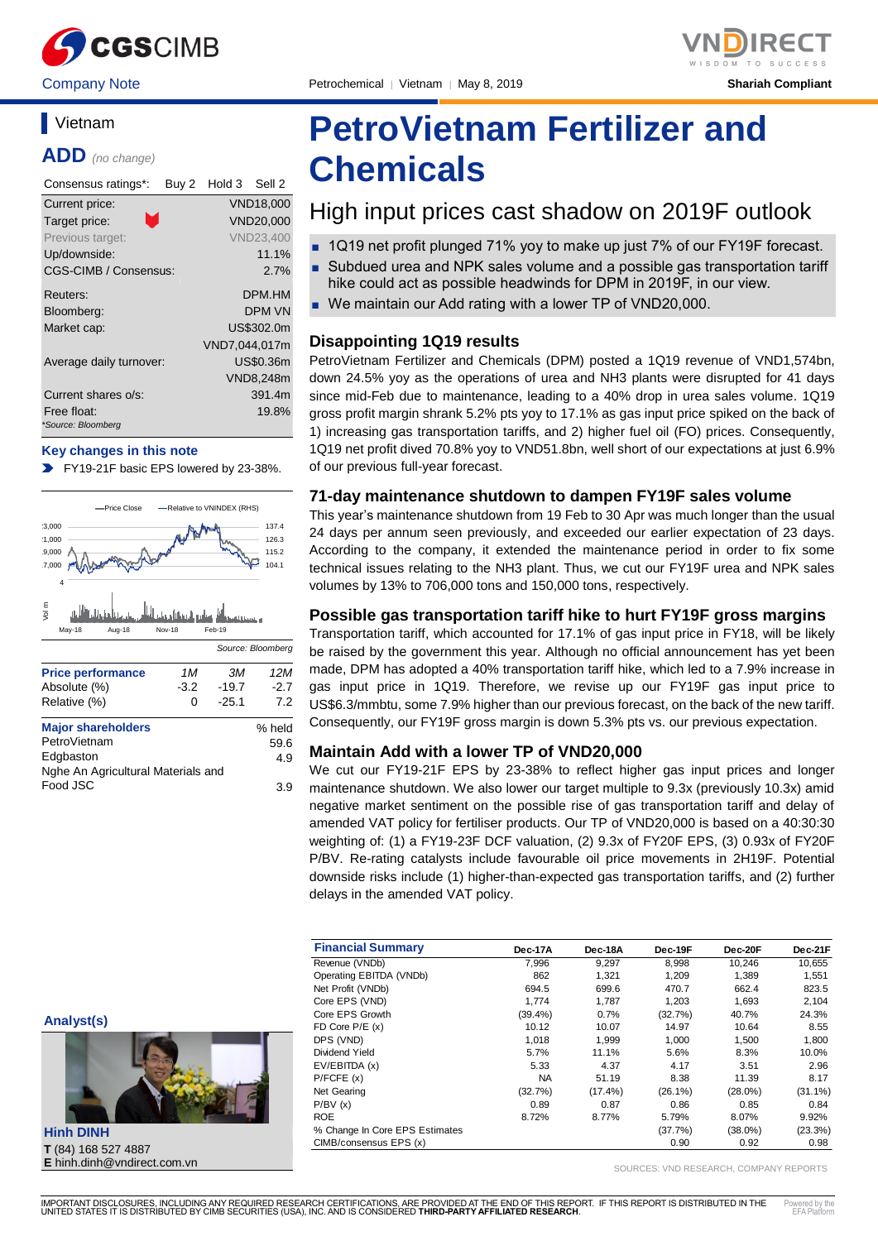

# **Vietnam**

**ADD** *(no change)*

| Consensus ratings*:               | Buy 2 | Hold 3 Sell 2 |                  |
|-----------------------------------|-------|---------------|------------------|
| Current price:                    |       |               | <b>VND18,000</b> |
| m,<br>Target price:               |       |               | VND20,000        |
| Previous target:                  |       |               | <b>VND23,400</b> |
| Up/downside:                      |       |               | 11.1%            |
| CGS-CIMB / Consensus:             |       |               | 2.7%             |
| Reuters:                          |       |               | DPM.HM           |
| Bloomberg:                        |       |               | <b>DPM VN</b>    |
| Market cap:                       |       |               | US\$302.0m       |
|                                   |       | VND7.044.017m |                  |
| Average daily turnover:           |       |               | US\$0.36m        |
|                                   |       |               | <b>VND8,248m</b> |
| Current shares o/s:               |       |               | 391.4m           |
| Free float:<br>*Source: Bloomberg |       |               | 19.8%            |

#### **Key changes in this note**

FY19-21F basic EPS lowered by 23-38%.



# **PetroVietnam Fertilizer and Chemicals**

# High input prices cast shadow on 2019F outlook

- 1Q19 net profit plunged 71% yoy to make up just 7% of our FY19F forecast.
- Subdued urea and NPK sales volume and a possible gas transportation tariff hike could act as possible headwinds for DPM in 2019F, in our view.
- We maintain our Add rating with a lower TP of VND20,000.

#### **Disappointing 1Q19 results**

PetroVietnam Fertilizer and Chemicals (DPM) posted a 1Q19 revenue of VND1,574bn, down 24.5% yoy as the operations of urea and NH3 plants were disrupted for 41 days since mid-Feb due to maintenance, leading to a 40% drop in urea sales volume. 1Q19 gross profit margin shrank 5.2% pts yoy to 17.1% as gas input price spiked on the back of 1) increasing gas transportation tariffs, and 2) higher fuel oil (FO) prices. Consequently, 1Q19 net profit dived 70.8% yoy to VND51.8bn, well short of our expectations at just 6.9% of our previous full-year forecast.

#### **71-day maintenance shutdown to dampen FY19F sales volume**

This year's maintenance shutdown from 19 Feb to 30 Apr was much longer than the usual 24 days per annum seen previously, and exceeded our earlier expectation of 23 days. According to the company, it extended the maintenance period in order to fix some technical issues relating to the NH3 plant. Thus, we cut our FY19F urea and NPK sales volumes by 13% to 706,000 tons and 150,000 tons, respectively.

#### **Possible gas transportation tariff hike to hurt FY19F gross margins**

Transportation tariff, which accounted for 17.1% of gas input price in FY18, will be likely be raised by the government this year. Although no official announcement has yet been made, DPM has adopted a 40% transportation tariff hike, which led to a 7.9% increase in gas input price in 1Q19. Therefore, we revise up our FY19F gas input price to US\$6.3/mmbtu, some 7.9% higher than our previous forecast, on the back of the new tariff. Consequently, our FY19F gross margin is down 5.3% pts vs. our previous expectation.

#### **Maintain Add with a lower TP of VND20,000**

We cut our FY19-21F EPS by 23-38% to reflect higher gas input prices and longer maintenance shutdown. We also lower our target multiple to 9.3x (previously 10.3x) amid negative market sentiment on the possible rise of gas transportation tariff and delay of amended VAT policy for fertiliser products. Our TP of VND20,000 is based on a 40:30:30 weighting of: (1) a FY19-23F DCF valuation, (2) 9.3x of FY20F EPS, (3) 0.93x of FY20F P/BV. Re-rating catalysts include favourable oil price movements in 2H19F. Potential downside risks include (1) higher-than-expected gas transportation tariffs, and (2) further delays in the amended VAT policy.

| <b>Financial Summary</b>       | Dec-17A    | Dec-18A    | Dec-19F    | Dec-20F    | Dec-21F    |
|--------------------------------|------------|------------|------------|------------|------------|
| Revenue (VNDb)                 | 7.996      | 9,297      | 8,998      | 10,246     | 10,655     |
| Operating EBITDA (VNDb)        | 862        | 1.321      | 1.209      | 1.389      | 1,551      |
| Net Profit (VNDb)              | 694.5      | 699.6      | 470.7      | 662.4      | 823.5      |
| Core EPS (VND)                 | 1.774      | 1.787      | 1,203      | 1.693      | 2,104      |
| Core EPS Growth                | $(39.4\%)$ | 0.7%       | (32.7%)    | 40.7%      | 24.3%      |
| FD Core $P/E(x)$               | 10.12      | 10.07      | 14.97      | 10.64      | 8.55       |
| DPS (VND)                      | 1.018      | 1.999      | 1.000      | 1.500      | 1,800      |
| Dividend Yield                 | 5.7%       | 11.1%      | 5.6%       | 8.3%       | 10.0%      |
| EV/EBITDA (x)                  | 5.33       | 4.37       | 4.17       | 3.51       | 2.96       |
| P/FCFE(x)                      | <b>NA</b>  | 51.19      | 8.38       | 11.39      | 8.17       |
| Net Gearing                    | (32.7%)    | $(17.4\%)$ | $(26.1\%)$ | $(28.0\%)$ | $(31.1\%)$ |
| P/BV(x)                        | 0.89       | 0.87       | 0.86       | 0.85       | 0.84       |
| <b>ROE</b>                     | 8.72%      | 8.77%      | 5.79%      | 8.07%      | 9.92%      |
| % Change In Core EPS Estimates |            |            | (37.7%)    | $(38.0\%)$ | (23.3%)    |
| CIMB/consensus EPS (x)         |            |            | 0.90       | 0.92       | 0.98       |

**Analyst(s)**



**Hinh DINH T** (84) 168 527 4887 **E** hinh.dinh@vndirect.com.vn

SOURCES: VND RESEARCH, COMPANY REPORTS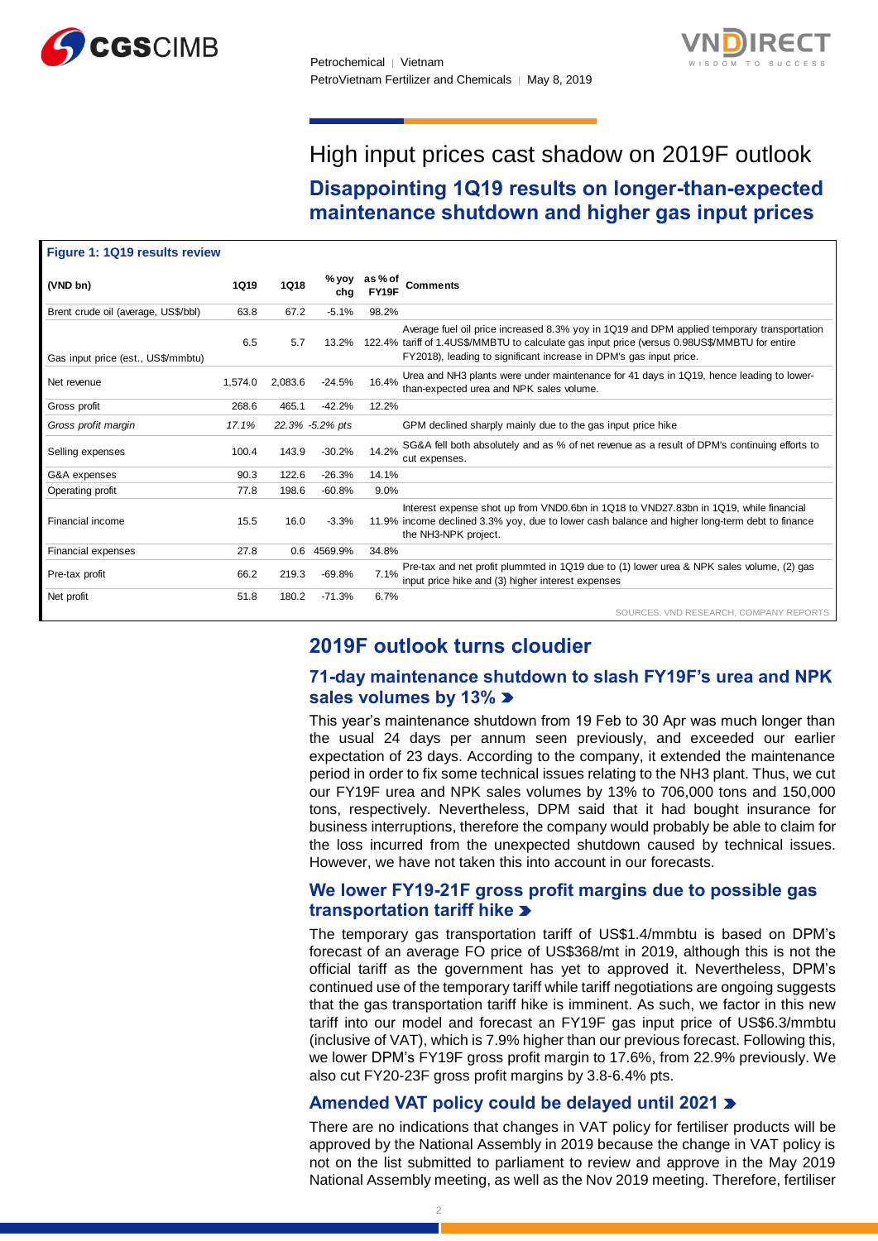



# High input prices cast shadow on 2019F outlook

**Disappointing 1Q19 results on longer-than-expected maintenance shutdown and higher gas input prices**

| Figure 1: 1Q19 results review       |             |             |                 |                |                                                                                                                                                                                                                                                                   |
|-------------------------------------|-------------|-------------|-----------------|----------------|-------------------------------------------------------------------------------------------------------------------------------------------------------------------------------------------------------------------------------------------------------------------|
| (VND bn)                            | <b>1Q19</b> | <b>1Q18</b> | % yoy<br>cha    | as%of<br>FY19F | <b>Comments</b>                                                                                                                                                                                                                                                   |
| Brent crude oil (average, US\$/bbl) | 63.8        | 67.2        | $-5.1%$         | 98.2%          |                                                                                                                                                                                                                                                                   |
| Gas input price (est., US\$/mmbtu)  | 6.5         | 5.7         | 13.2%           |                | Average fuel oil price increased 8.3% yoy in 1Q19 and DPM applied temporary transportation<br>122.4% tariff of 1.4US\$/MMBTU to calculate gas input price (versus 0.98US\$/MMBTU for entire<br>FY2018), leading to significant increase in DPM's gas input price. |
| Net revenue                         | 1.574.0     | 2.083.6     | $-24.5%$        | 16.4%          | Urea and NH3 plants were under maintenance for 41 days in 1Q19, hence leading to lower-<br>than-expected urea and NPK sales volume.                                                                                                                               |
| Gross profit                        | 268.6       | 465.1       | $-42.2%$        | 12.2%          |                                                                                                                                                                                                                                                                   |
| Gross profit margin                 | 17.1%       |             | 22.3% -5.2% pts |                | GPM declined sharply mainly due to the gas input price hike                                                                                                                                                                                                       |
| Selling expenses                    | 100.4       | 143.9       | $-30.2%$        | 14.2%          | SG&A fell both absolutely and as % of net revenue as a result of DPM's continuing efforts to<br>cut expenses.                                                                                                                                                     |
| G&A expenses                        | 90.3        | 122.6       | $-26.3%$        | 14.1%          |                                                                                                                                                                                                                                                                   |
| Operating profit                    | 77.8        | 198.6       | $-60.8%$        | 9.0%           |                                                                                                                                                                                                                                                                   |
| Financial income                    | 15.5        | 16.0        | $-3.3%$         |                | Interest expense shot up from VND0.6bn in 1Q18 to VND27.83bn in 1Q19, while financial<br>11.9% income declined 3.3% yoy, due to lower cash balance and higher long-term debt to finance<br>the NH3-NPK project.                                                   |
| <b>Financial expenses</b>           | 27.8        | 0.6         | 4569.9%         | 34.8%          |                                                                                                                                                                                                                                                                   |
| Pre-tax profit                      | 66.2        | 219.3       | $-69.8%$        | 7.1%           | Pre-tax and net profit plummted in 1Q19 due to (1) lower urea & NPK sales volume, (2) gas<br>input price hike and (3) higher interest expenses                                                                                                                    |
| Net profit                          | 51.8        | 180.2       | $-71.3%$        | 6.7%           |                                                                                                                                                                                                                                                                   |
|                                     |             |             |                 |                | SOURCES: VND RESEARCH, COMPANY REPORTS                                                                                                                                                                                                                            |

# **2019F outlook turns cloudier**

# **71-day maintenance shutdown to slash FY19F's urea and NPK sales volumes by 13%**

This year's maintenance shutdown from 19 Feb to 30 Apr was much longer than the usual 24 days per annum seen previously, and exceeded our earlier expectation of 23 days. According to the company, it extended the maintenance period in order to fix some technical issues relating to the NH3 plant. Thus, we cut our FY19F urea and NPK sales volumes by 13% to 706,000 tons and 150,000 tons, respectively. Nevertheless, DPM said that it had bought insurance for business interruptions, therefore the company would probably be able to claim for the loss incurred from the unexpected shutdown caused by technical issues. However, we have not taken this into account in our forecasts.

### **We lower FY19-21F gross profit margins due to possible gas transportation tariff hike**

The temporary gas transportation tariff of US\$1.4/mmbtu is based on DPM's forecast of an average FO price of US\$368/mt in 2019, although this is not the official tariff as the government has yet to approved it. Nevertheless, DPM's continued use of the temporary tariff while tariff negotiations are ongoing suggests that the gas transportation tariff hike is imminent. As such, we factor in this new tariff into our model and forecast an FY19F gas input price of US\$6.3/mmbtu (inclusive of VAT), which is 7.9% higher than our previous forecast. Following this, we lower DPM's FY19F gross profit margin to 17.6%, from 22.9% previously. We also cut FY20-23F gross profit margins by 3.8-6.4% pts.

# **Amended VAT policy could be delayed until 2021**

There are no indications that changes in VAT policy for fertiliser products will be approved by the National Assembly in 2019 because the change in VAT policy is not on the list submitted to parliament to review and approve in the May 2019 National Assembly meeting, as well as the Nov 2019 meeting. Therefore, fertiliser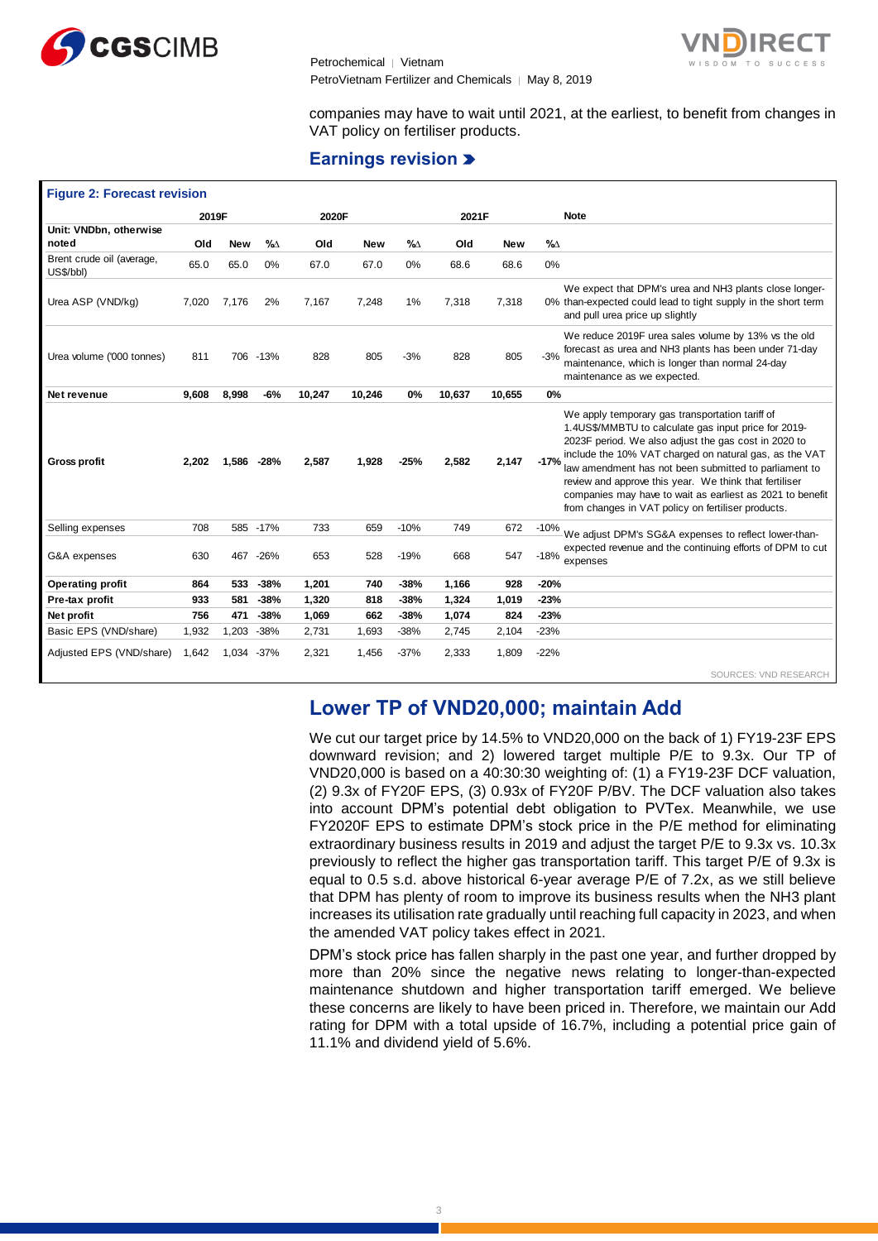



companies may have to wait until 2021, at the earliest, to benefit from changes in VAT policy on fertiliser products.

### **Earnings revision**

| <b>Figure 2: Forecast revision</b>     |       |            |           |        |            |        |        |            |                                                                                                                                                                                                                                                                                                                                                                                                                                                                           |  |
|----------------------------------------|-------|------------|-----------|--------|------------|--------|--------|------------|---------------------------------------------------------------------------------------------------------------------------------------------------------------------------------------------------------------------------------------------------------------------------------------------------------------------------------------------------------------------------------------------------------------------------------------------------------------------------|--|
|                                        | 2019F |            |           | 2020F  |            |        | 2021F  |            | <b>Note</b>                                                                                                                                                                                                                                                                                                                                                                                                                                                               |  |
| Unit: VNDbn, otherwise                 |       |            |           |        |            |        |        |            |                                                                                                                                                                                                                                                                                                                                                                                                                                                                           |  |
| noted                                  | Old   | <b>New</b> | $\%$      | Old    | <b>New</b> | $\%$   | Old    | <b>New</b> | $\%$                                                                                                                                                                                                                                                                                                                                                                                                                                                                      |  |
| Brent crude oil (average,<br>US\$/bbl) | 65.0  | 65.0       | 0%        | 67.0   | 67.0       | 0%     | 68.6   | 68.6       | 0%                                                                                                                                                                                                                                                                                                                                                                                                                                                                        |  |
| Urea ASP (VND/kg)                      | 7,020 | 7,176      | 2%        | 7.167  | 7,248      | 1%     | 7,318  | 7,318      | We expect that DPM's urea and NH3 plants close longer-<br>0% than-expected could lead to tight supply in the short term<br>and pull urea price up slightly                                                                                                                                                                                                                                                                                                                |  |
| Urea volume ('000 tonnes)              | 811   |            | 706 -13%  | 828    | 805        | $-3%$  | 828    | 805        | We reduce 2019F urea sales volume by 13% vs the old<br>forecast as urea and NH3 plants has been under 71-day<br>$-3%$<br>maintenance, which is longer than normal 24-day<br>maintenance as we expected.                                                                                                                                                                                                                                                                   |  |
| Net revenue                            | 9.608 | 8,998      | $-6%$     | 10,247 | 10,246     | 0%     | 10,637 | 10,655     | 0%                                                                                                                                                                                                                                                                                                                                                                                                                                                                        |  |
| <b>Gross profit</b>                    | 2.202 | 1.586      | $-28%$    | 2,587  | 1,928      | $-25%$ | 2,582  | 2,147      | We apply temporary gas transportation tariff of<br>1.4US\$/MMBTU to calculate gas input price for 2019-<br>2023F period. We also adjust the gas cost in 2020 to<br>include the 10% VAT charged on natural gas, as the VAT<br>$-17%$<br>law amendment has not been submitted to parliament to<br>review and approve this year. We think that fertiliser<br>companies may have to wait as earliest as 2021 to benefit<br>from changes in VAT policy on fertiliser products. |  |
| Selling expenses                       | 708   |            | 585 - 17% | 733    | 659        | $-10%$ | 749    | 672        | $-10%$<br>We adjust DPM's SG&A expenses to reflect lower-than-                                                                                                                                                                                                                                                                                                                                                                                                            |  |
| G&A expenses                           | 630   | 467        | $-26%$    | 653    | 528        | $-19%$ | 668    | 547        | expected revenue and the continuing efforts of DPM to cut<br>$-18\%$ expenses                                                                                                                                                                                                                                                                                                                                                                                             |  |
| <b>Operating profit</b>                | 864   | 533        | $-38%$    | 1,201  | 740        | $-38%$ | 1,166  | 928        | $-20%$                                                                                                                                                                                                                                                                                                                                                                                                                                                                    |  |
| Pre-tax profit                         | 933   | 581        | $-38%$    | 1,320  | 818        | $-38%$ | 1,324  | 1,019      | $-23%$                                                                                                                                                                                                                                                                                                                                                                                                                                                                    |  |
| Net profit                             | 756   | 471        | $-38%$    | 1,069  | 662        | $-38%$ | 1,074  | 824        | $-23%$                                                                                                                                                                                                                                                                                                                                                                                                                                                                    |  |
| Basic EPS (VND/share)                  | 1,932 | 1,203      | $-38%$    | 2,731  | 1,693      | $-38%$ | 2,745  | 2,104      | $-23%$                                                                                                                                                                                                                                                                                                                                                                                                                                                                    |  |
| Adjusted EPS (VND/share)               | 1.642 | 1.034      | $-37%$    | 2,321  | 1.456      | $-37%$ | 2,333  | 1.809      | $-22%$                                                                                                                                                                                                                                                                                                                                                                                                                                                                    |  |
|                                        |       |            |           |        |            |        |        |            | SOURCES: VND RESEARCH                                                                                                                                                                                                                                                                                                                                                                                                                                                     |  |

# **Lower TP of VND20,000; maintain Add**

We cut our target price by 14.5% to VND20,000 on the back of 1) FY19-23F EPS downward revision; and 2) lowered target multiple P/E to 9.3x. Our TP of VND20,000 is based on a 40:30:30 weighting of: (1) a FY19-23F DCF valuation, (2) 9.3x of FY20F EPS, (3) 0.93x of FY20F P/BV. The DCF valuation also takes into account DPM's potential debt obligation to PVTex. Meanwhile, we use FY2020F EPS to estimate DPM's stock price in the P/E method for eliminating extraordinary business results in 2019 and adjust the target P/E to 9.3x vs. 10.3x previously to reflect the higher gas transportation tariff. This target P/E of 9.3x is equal to 0.5 s.d. above historical 6-year average P/E of 7.2x, as we still believe that DPM has plenty of room to improve its business results when the NH3 plant increases its utilisation rate gradually until reaching full capacity in 2023, and when the amended VAT policy takes effect in 2021.

DPM's stock price has fallen sharply in the past one year, and further dropped by more than 20% since the negative news relating to longer-than-expected maintenance shutdown and higher transportation tariff emerged. We believe these concerns are likely to have been priced in. Therefore, we maintain our Add rating for DPM with a total upside of 16.7%, including a potential price gain of 11.1% and dividend yield of 5.6%.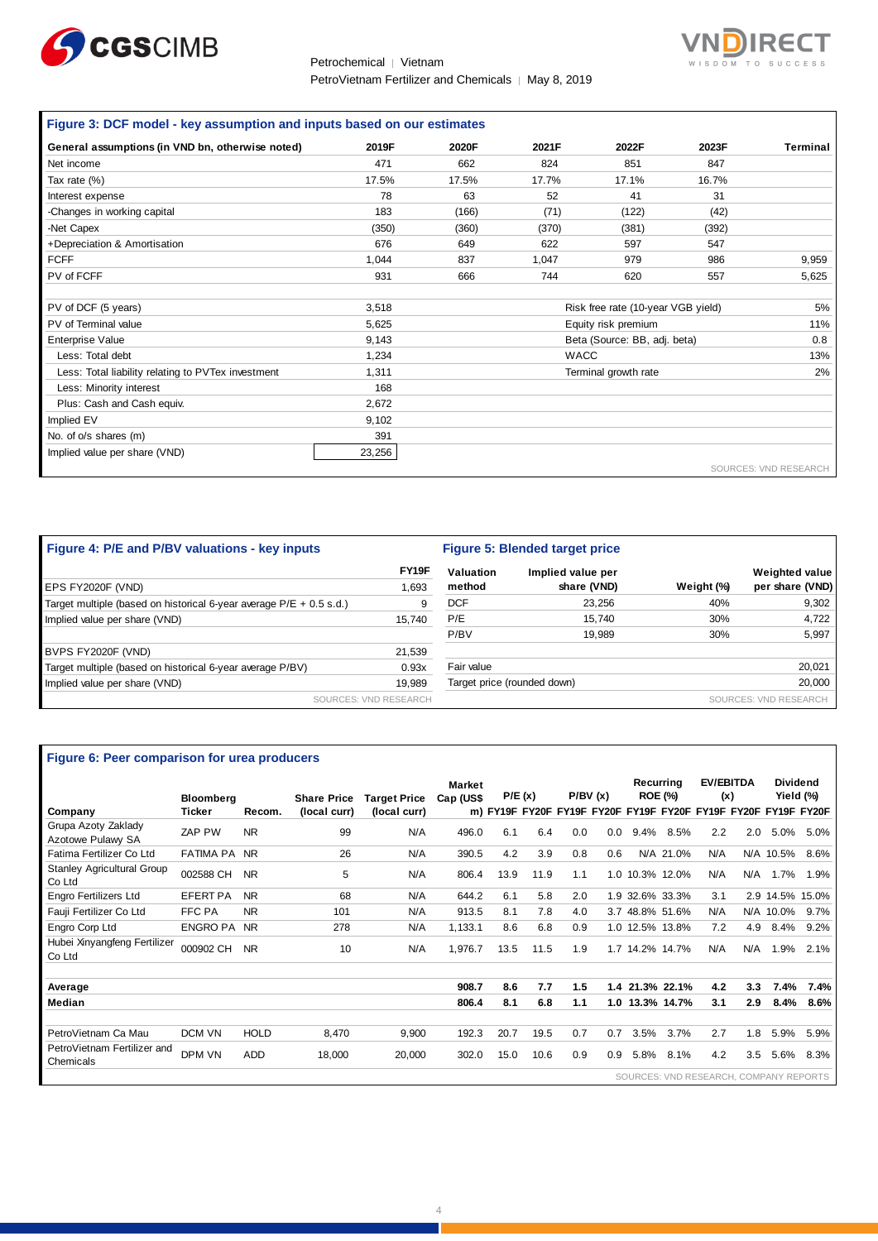

#### Petrochemical │ Vietnam PetroVietnam Fertilizer and Chemicals | May 8, 2019



# **Figure 3: DCF model - key assumption and inputs based on our estimates**

| General assumptions (in VND bn, otherwise noted)   | 2019F  | 2020F | 2021F | 2022F                              | 2023F | Terminal                     |
|----------------------------------------------------|--------|-------|-------|------------------------------------|-------|------------------------------|
| Net income                                         | 471    | 662   | 824   | 851                                | 847   |                              |
| Tax rate (%)                                       | 17.5%  | 17.5% | 17.7% | 17.1%                              | 16.7% |                              |
| Interest expense                                   | 78     | 63    | 52    | 41                                 | 31    |                              |
| -Changes in working capital                        | 183    | (166) | (71)  | (122)                              | (42)  |                              |
| -Net Capex                                         | (350)  | (360) | (370) | (381)                              | (392) |                              |
| +Depreciation & Amortisation                       | 676    | 649   | 622   | 597                                | 547   |                              |
| <b>FCFF</b>                                        | 1,044  | 837   | 1,047 | 979                                | 986   | 9,959                        |
| PV of FCFF                                         | 931    | 666   | 744   | 620                                | 557   | 5,625                        |
|                                                    |        |       |       |                                    |       |                              |
| PV of DCF (5 years)                                | 3,518  |       |       | Risk free rate (10-year VGB yield) |       | 5%                           |
| PV of Terminal value                               | 5,625  |       |       | Equity risk premium                |       | 11%                          |
| Enterprise Value                                   | 9,143  |       |       | Beta (Source: BB, adj. beta)       |       | 0.8                          |
| Less: Total debt                                   | 1,234  |       |       | <b>WACC</b>                        |       | 13%                          |
| Less: Total liability relating to PVTex investment | 1,311  |       |       | Terminal growth rate               |       | 2%                           |
| Less: Minority interest                            | 168    |       |       |                                    |       |                              |
| Plus: Cash and Cash equiv.                         | 2,672  |       |       |                                    |       |                              |
| Implied EV                                         | 9,102  |       |       |                                    |       |                              |
| No. of o/s shares (m)                              | 391    |       |       |                                    |       |                              |
| Implied value per share (VND)                      | 23,256 |       |       |                                    |       |                              |
|                                                    |        |       |       |                                    |       | <b>SOURCES: VND RESEARCH</b> |

| Figure 4: P/E and P/BV valuations - key inputs                      |                       | Figure 5: Blended target price |                             |            |                       |  |  |
|---------------------------------------------------------------------|-----------------------|--------------------------------|-----------------------------|------------|-----------------------|--|--|
|                                                                     | FY <sub>19</sub> F    | Valuation                      | Implied value per           |            | Weighted value        |  |  |
| EPS FY2020F (VND)                                                   | 1.693                 | method                         | share (VND)                 | Weight (%) | per share (VND)       |  |  |
| Target multiple (based on historical 6-year average P/E + 0.5 s.d.) | 9                     | <b>DCF</b>                     | 23.256                      | 40%        | 9,302                 |  |  |
| Implied value per share (VND)                                       | 15.740                | P/E                            | 15.740                      | 30%        | 4,722                 |  |  |
|                                                                     |                       | P/BV                           | 19.989                      | 30%        | 5,997                 |  |  |
| BVPS FY2020F (VND)                                                  | 21,539                |                                |                             |            |                       |  |  |
| Target multiple (based on historical 6-year average P/BV)           | 0.93x                 | Fair value                     |                             |            | 20,021                |  |  |
| Implied value per share (VND)                                       | 19.989                |                                | Target price (rounded down) |            | 20,000                |  |  |
|                                                                     | SOURCES: VND RESEARCH |                                |                             |            | SOURCES: VND RESEARCH |  |  |

#### **Figure 6: Peer comparison for urea producers**

| Figure 6: Peer comparison for urea producers |                  |             |                    |                     |               |      |        |                                                                |     |                 |                 |                  |     |                 |                 |
|----------------------------------------------|------------------|-------------|--------------------|---------------------|---------------|------|--------|----------------------------------------------------------------|-----|-----------------|-----------------|------------------|-----|-----------------|-----------------|
|                                              |                  |             |                    |                     | <b>Market</b> |      |        |                                                                |     | Recurrina       |                 | <b>EV/EBITDA</b> |     | <b>Dividend</b> |                 |
|                                              | <b>Bloomberg</b> |             | <b>Share Price</b> | <b>Target Price</b> | Cap (US\$     |      | P/E(x) | P/BV(x)                                                        |     |                 | <b>ROE (%)</b>  | (x)              |     |                 | Yield (%)       |
| Company                                      | Ticker           | Recom.      | (local curr)       | (local curr)        |               |      |        | m) FY19F FY20F FY19F FY20F FY19F FY20F FY19F FY20F FY19F FY20F |     |                 |                 |                  |     |                 |                 |
| Grupa Azoty Zaklady<br>Azotowe Pulawy SA     | ZAP PW           | <b>NR</b>   | 99                 | N/A                 | 496.0         | 6.1  | 6.4    | 0.0                                                            | 0.0 | 9.4%            | 8.5%            | 2.2              | 2.0 | 5.0%            | 5.0%            |
| Fatima Fertilizer Co Ltd                     | <b>FATIMA PA</b> | <b>NR</b>   | 26                 | N/A                 | 390.5         | 4.2  | 3.9    | 0.8                                                            | 0.6 |                 | N/A 21.0%       | N/A              |     | N/A 10.5%       | 8.6%            |
| <b>Stanley Agricultural Group</b><br>Co Ltd  | 002588 CH        | <b>NR</b>   | 5                  | N/A                 | 806.4         | 13.9 | 11.9   | 1.1                                                            |     |                 | 1.0 10.3% 12.0% | N/A              | N/A | 1.7%            | 1.9%            |
| <b>Engro Fertilizers Ltd</b>                 | <b>EFERT PA</b>  | <b>NR</b>   | 68                 | N/A                 | 644.2         | 6.1  | 5.8    | 2.0                                                            |     |                 | 1.9 32.6% 33.3% | 3.1              |     |                 | 2.9 14.5% 15.0% |
| Fauji Fertilizer Co Ltd                      | FFC PA           | <b>NR</b>   | 101                | N/A                 | 913.5         | 8.1  | 7.8    | 4.0                                                            |     |                 | 3.7 48.8% 51.6% | N/A              | N/A | 10.0%           | 9.7%            |
| Engro Corp Ltd                               | ENGRO PA NR      |             | 278                | N/A                 | 1,133.1       | 8.6  | 6.8    | 0.9                                                            |     |                 | 1.0 12.5% 13.8% | 7.2              | 4.9 | 8.4%            | 9.2%            |
| Hubei Xinyangfeng Fertilizer<br>Co Ltd       | 000902 CH        | <b>NR</b>   | 10                 | N/A                 | 1.976.7       | 13.5 | 11.5   | 1.9                                                            |     | 1.7 14.2% 14.7% |                 | N/A              | N/A | 1.9%            | 2.1%            |
|                                              |                  |             |                    |                     |               |      |        |                                                                |     |                 |                 |                  |     |                 |                 |
| Average                                      |                  |             |                    |                     | 908.7         | 8.6  | 7.7    | 1.5                                                            | 1.4 |                 | 21.3% 22.1%     | 4.2              | 3.3 | 7.4%            | 7.4%            |
| Median                                       |                  |             |                    |                     | 806.4         | 8.1  | 6.8    | 1.1                                                            | 1.0 |                 | 13.3% 14.7%     | 3.1              | 2.9 | 8.4%            | 8.6%            |
|                                              |                  |             |                    |                     |               |      |        |                                                                |     |                 |                 |                  |     |                 |                 |
| PetroVietnam Ca Mau                          | <b>DCM VN</b>    | <b>HOLD</b> | 8.470              | 9.900               | 192.3         | 20.7 | 19.5   | 0.7                                                            | 0.7 | 3.5%            | 3.7%            | 2.7              | 1.8 | 5.9%            | 5.9%            |
| PetroVietnam Fertilizer and<br>Chemicals     | DPM VN           | <b>ADD</b>  | 18,000             | 20,000              | 302.0         | 15.0 | 10.6   | 0.9                                                            | 0.9 | 5.8%            | 8.1%            | 4.2              | 3.5 | 5.6%            | 8.3%            |
| SOURCES: VND RESEARCH, COMPANY REPORTS       |                  |             |                    |                     |               |      |        |                                                                |     |                 |                 |                  |     |                 |                 |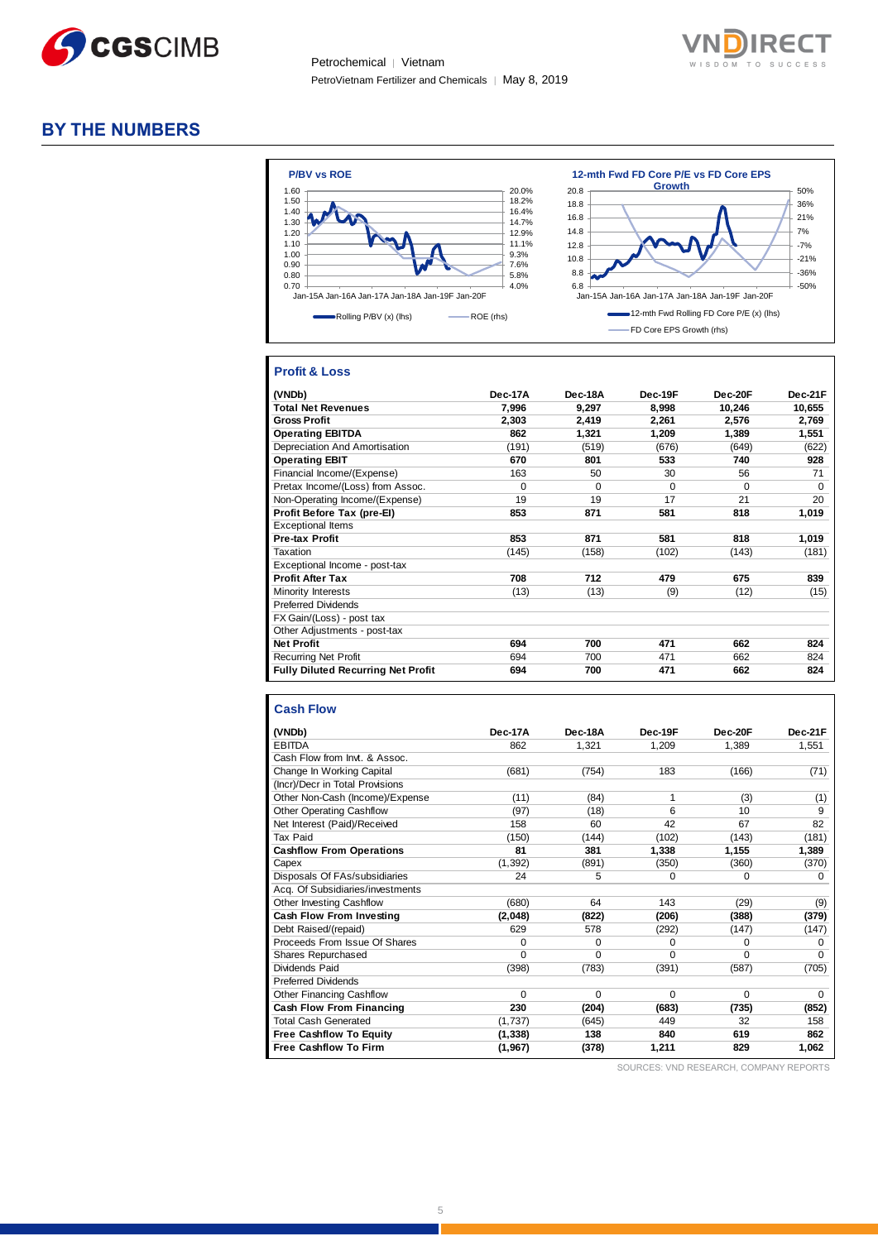

Petrochemical │ Vietnam PetroVietnam Fertilizer and Chemicals | May 8, 2019



### **BY THE NUMBERS**



#### **Profit & Loss**

| (VNDb)                                    | Dec-17A  | Dec-18A | Dec-19F  | Dec-20F  | Dec-21F  |
|-------------------------------------------|----------|---------|----------|----------|----------|
| <b>Total Net Revenues</b>                 | 7.996    | 9.297   | 8.998    | 10,246   | 10,655   |
| <b>Gross Profit</b>                       | 2,303    | 2.419   | 2.261    | 2.576    | 2,769    |
| <b>Operating EBITDA</b>                   | 862      | 1,321   | 1,209    | 1,389    | 1,551    |
| Depreciation And Amortisation             | (191)    | (519)   | (676)    | (649)    | (622)    |
| <b>Operating EBIT</b>                     | 670      | 801     | 533      | 740      | 928      |
| Financial Income/(Expense)                | 163      | 50      | 30       | 56       | 71       |
| Pretax Income/(Loss) from Assoc.          | $\Omega$ | 0       | $\Omega$ | $\Omega$ | $\Omega$ |
| Non-Operating Income/(Expense)            | 19       | 19      | 17       | 21       | 20       |
| Profit Before Tax (pre-El)                | 853      | 871     | 581      | 818      | 1,019    |
| <b>Exceptional Items</b>                  |          |         |          |          |          |
| <b>Pre-tax Profit</b>                     | 853      | 871     | 581      | 818      | 1,019    |
| Taxation                                  | (145)    | (158)   | (102)    | (143)    | (181)    |
| Exceptional Income - post-tax             |          |         |          |          |          |
| <b>Profit After Tax</b>                   | 708      | 712     | 479      | 675      | 839      |
| Minority Interests                        | (13)     | (13)    | (9)      | (12)     | (15)     |
| <b>Preferred Dividends</b>                |          |         |          |          |          |
| FX Gain/(Loss) - post tax                 |          |         |          |          |          |
| Other Adjustments - post-tax              |          |         |          |          |          |
| <b>Net Profit</b>                         | 694      | 700     | 471      | 662      | 824      |
| <b>Recurring Net Profit</b>               | 694      | 700     | 471      | 662      | 824      |
| <b>Fully Diluted Recurring Net Profit</b> | 694      | 700     | 471      | 662      | 824      |

#### **Cash Flow**

| (VNDb)                           | Dec-17A  | Dec-18A | Dec-19F  | Dec-20F  | Dec-21F  |
|----------------------------------|----------|---------|----------|----------|----------|
| <b>EBITDA</b>                    | 862      | 1,321   | 1,209    | 1,389    | 1,551    |
| Cash Flow from Invt. & Assoc.    |          |         |          |          |          |
| Change In Working Capital        | (681)    | (754)   | 183      | (166)    | (71)     |
| (Incr)/Decr in Total Provisions  |          |         |          |          |          |
| Other Non-Cash (Income)/Expense  | (11)     | (84)    | 1        | (3)      | (1)      |
| <b>Other Operating Cashflow</b>  | (97)     | (18)    | 6        | 10       | 9        |
| Net Interest (Paid)/Received     | 158      | 60      | 42       | 67       | 82       |
| <b>Tax Paid</b>                  | (150)    | (144)   | (102)    | (143)    | (181)    |
| <b>Cashflow From Operations</b>  | 81       | 381     | 1,338    | 1,155    | 1,389    |
| Capex                            | (1, 392) | (891)   | (350)    | (360)    | (370)    |
| Disposals Of FAs/subsidiaries    | 24       | 5       | $\Omega$ | $\Omega$ | 0        |
| Acq. Of Subsidiaries/investments |          |         |          |          |          |
| Other Investing Cashflow         | (680)    | 64      | 143      | (29)     | (9)      |
| Cash Flow From Investing         | (2,048)  | (822)   | (206)    | (388)    | (379)    |
| Debt Raised/(repaid)             | 629      | 578     | (292)    | (147)    | (147)    |
| Proceeds From Issue Of Shares    | 0        | 0       | $\Omega$ | $\Omega$ | 0        |
| Shares Repurchased               | $\Omega$ | 0       | $\Omega$ | $\Omega$ | $\Omega$ |
| Dividends Paid                   | (398)    | (783)   | (391)    | (587)    | (705)    |
| <b>Preferred Dividends</b>       |          |         |          |          |          |
| <b>Other Financing Cashflow</b>  | $\Omega$ | 0       | $\Omega$ | $\Omega$ | $\Omega$ |
| Cash Flow From Financing         | 230      | (204)   | (683)    | (735)    | (852)    |
| <b>Total Cash Generated</b>      | (1,737)  | (645)   | 449      | 32       | 158      |
| <b>Free Cashflow To Equity</b>   | (1, 338) | 138     | 840      | 619      | 862      |
| <b>Free Cashflow To Firm</b>     | (1, 967) | (378)   | 1,211    | 829      | 1,062    |

SOURCES: VND RESEARCH, COMPANY REPORTS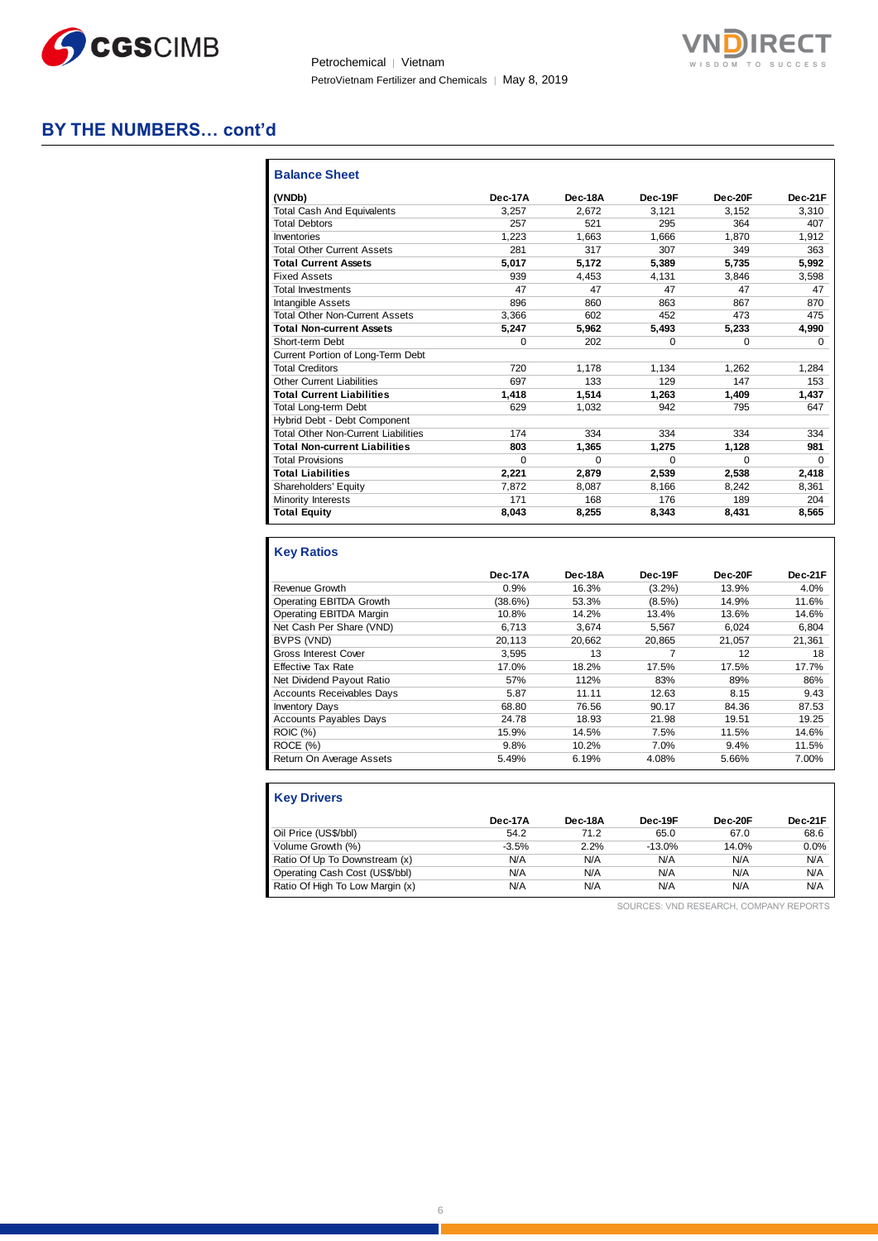

Petrochemical | Vietnam PetroVietnam Fertilizer and Chemicals | May 8, 2019



### **BY THE NUMBERS… cont'd**

| <b>Balance Sheet</b>                       |         |          |          |          |          |
|--------------------------------------------|---------|----------|----------|----------|----------|
| (VNDb)                                     | Dec-17A | Dec-18A  | Dec-19F  | Dec-20F  | Dec-21F  |
| <b>Total Cash And Equivalents</b>          | 3.257   | 2.672    | 3.121    | 3.152    | 3.310    |
| <b>Total Debtors</b>                       | 257     | 521      | 295      | 364      | 407      |
| Inventories                                | 1.223   | 1.663    | 1.666    | 1.870    | 1,912    |
| <b>Total Other Current Assets</b>          | 281     | 317      | 307      | 349      | 363      |
| <b>Total Current Assets</b>                | 5,017   | 5.172    | 5.389    | 5.735    | 5.992    |
| <b>Fixed Assets</b>                        | 939     | 4.453    | 4.131    | 3.846    | 3,598    |
| <b>Total Investments</b>                   | 47      | 47       | 47       | 47       | 47       |
| <b>Intangible Assets</b>                   | 896     | 860      | 863      | 867      | 870      |
| <b>Total Other Non-Current Assets</b>      | 3.366   | 602      | 452      | 473      | 475      |
| <b>Total Non-current Assets</b>            | 5.247   | 5.962    | 5.493    | 5.233    | 4,990    |
| Short-term Debt                            | 0       | 202      | $\Omega$ | $\Omega$ | $\Omega$ |
| Current Portion of Long-Term Debt          |         |          |          |          |          |
| <b>Total Creditors</b>                     | 720     | 1.178    | 1,134    | 1.262    | 1.284    |
| <b>Other Current Liabilities</b>           | 697     | 133      | 129      | 147      | 153      |
| <b>Total Current Liabilities</b>           | 1,418   | 1.514    | 1.263    | 1,409    | 1,437    |
| <b>Total Long-term Debt</b>                | 629     | 1.032    | 942      | 795      | 647      |
| Hybrid Debt - Debt Component               |         |          |          |          |          |
| <b>Total Other Non-Current Liabilities</b> | 174     | 334      | 334      | 334      | 334      |
| <b>Total Non-current Liabilities</b>       | 803     | 1,365    | 1,275    | 1,128    | 981      |
| <b>Total Provisions</b>                    | 0       | $\Omega$ | $\Omega$ | $\Omega$ | $\Omega$ |
| <b>Total Liabilities</b>                   | 2.221   | 2.879    | 2.539    | 2.538    | 2.418    |
| Shareholders' Equity                       | 7,872   | 8,087    | 8.166    | 8,242    | 8,361    |
| Minority Interests                         | 171     | 168      | 176      | 189      | 204      |
| <b>Total Equity</b>                        | 8,043   | 8,255    | 8,343    | 8,431    | 8,565    |

### **Key Ratios**

|                                  | Dec-17A | Dec-18A | Dec-19F   | Dec-20F | Dec-21F |
|----------------------------------|---------|---------|-----------|---------|---------|
| Revenue Growth                   | 0.9%    | 16.3%   | $(3.2\%)$ | 13.9%   | 4.0%    |
| Operating EBITDA Growth          | (38.6%) | 53.3%   | $(8.5\%)$ | 14.9%   | 11.6%   |
| Operating EBITDA Margin          | 10.8%   | 14.2%   | 13.4%     | 13.6%   | 14.6%   |
| Net Cash Per Share (VND)         | 6.713   | 3.674   | 5.567     | 6.024   | 6,804   |
| BVPS (VND)                       | 20.113  | 20.662  | 20.865    | 21.057  | 21.361  |
| <b>Gross Interest Cover</b>      | 3.595   | 13      |           | 12      | 18      |
| <b>Effective Tax Rate</b>        | 17.0%   | 18.2%   | 17.5%     | 17.5%   | 17.7%   |
| Net Dividend Payout Ratio        | 57%     | 112%    | 83%       | 89%     | 86%     |
| <b>Accounts Receivables Days</b> | 5.87    | 11.11   | 12.63     | 8.15    | 9.43    |
| <b>Inventory Days</b>            | 68.80   | 76.56   | 90.17     | 84.36   | 87.53   |
| <b>Accounts Payables Days</b>    | 24.78   | 18.93   | 21.98     | 19.51   | 19.25   |
| ROIC (%)                         | 15.9%   | 14.5%   | 7.5%      | 11.5%   | 14.6%   |
| ROCE (%)                         | 9.8%    | 10.2%   | 7.0%      | 9.4%    | 11.5%   |
| Return On Average Assets         | 5.49%   | 6.19%   | 4.08%     | 5.66%   | 7.00%   |

| <b>Key Drivers</b>              |         |         |          |         |         |
|---------------------------------|---------|---------|----------|---------|---------|
|                                 | Dec-17A | Dec-18A | Dec-19F  | Dec-20F | Dec-21F |
| Oil Price (US\$/bbl)            | 54.2    | 71.2    | 65.0     | 67.0    | 68.6    |
| Volume Growth (%)               | $-3.5%$ | 2.2%    | $-13.0%$ | 14.0%   | 0.0%    |
| Ratio Of Up To Downstream (x)   | N/A     | N/A     | N/A      | N/A     | N/A     |
| Operating Cash Cost (US\$/bbl)  | N/A     | N/A     | N/A      | N/A     | N/A     |
| Ratio Of High To Low Margin (x) | N/A     | N/A     | N/A      | N/A     | N/A     |

SOURCES: VND RESEARCH, COMPANY REPORTS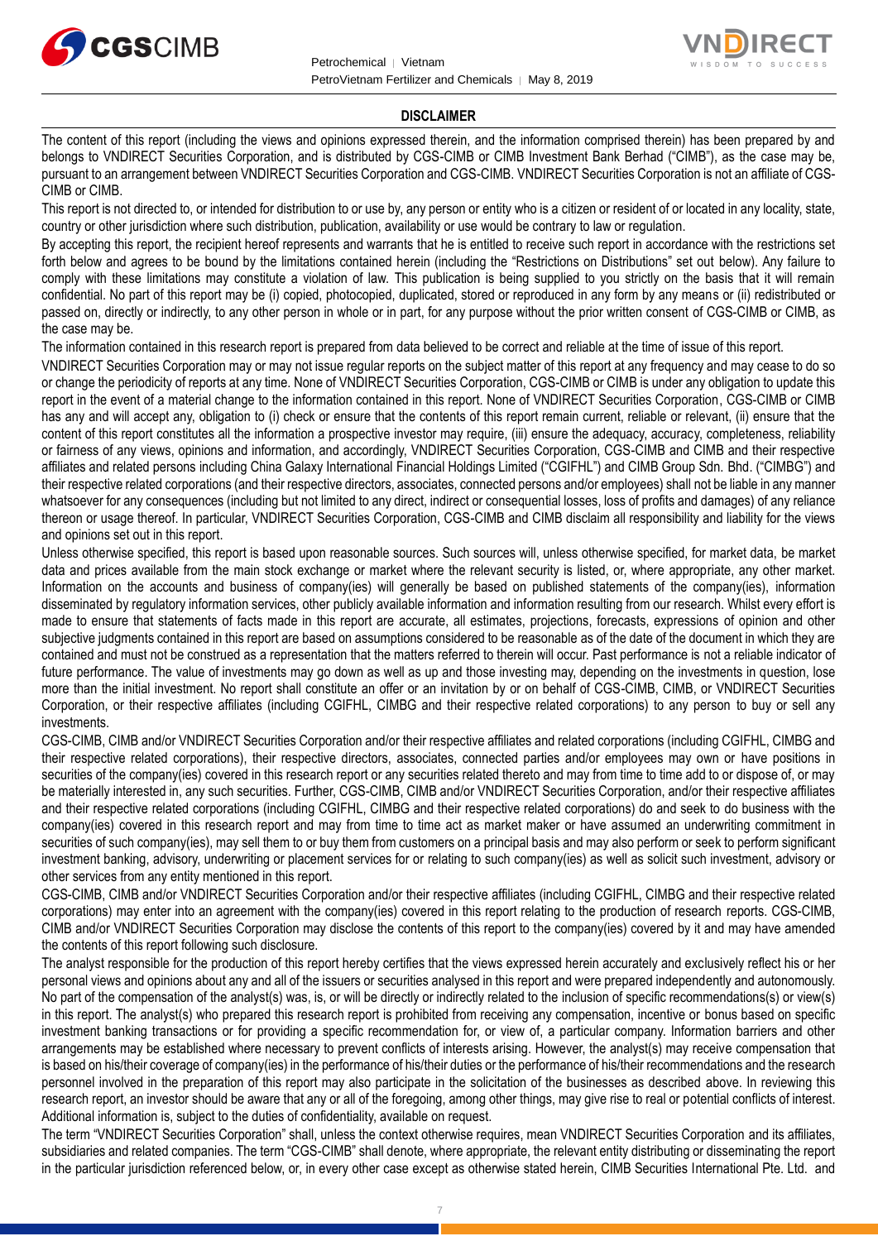



#### **DISCLAIMER**

The content of this report (including the views and opinions expressed therein, and the information comprised therein) has been prepared by and belongs to VNDIRECT Securities Corporation, and is distributed by CGS-CIMB or CIMB Investment Bank Berhad ("CIMB"), as the case may be, pursuant to an arrangement between VNDIRECT Securities Corporation and CGS-CIMB. VNDIRECT Securities Corporation is not an affiliate of CGS-CIMB or CIMB.

This report is not directed to, or intended for distribution to or use by, any person or entity who is a citizen or resident of or located in any locality, state, country or other jurisdiction where such distribution, publication, availability or use would be contrary to law or regulation.

By accepting this report, the recipient hereof represents and warrants that he is entitled to receive such report in accordance with the restrictions set forth below and agrees to be bound by the limitations contained herein (including the "Restrictions on Distributions" set out below). Any failure to comply with these limitations may constitute a violation of law. This publication is being supplied to you strictly on the basis that it will remain confidential. No part of this report may be (i) copied, photocopied, duplicated, stored or reproduced in any form by any means or (ii) redistributed or passed on, directly or indirectly, to any other person in whole or in part, for any purpose without the prior written consent of CGS-CIMB or CIMB, as the case may be.

The information contained in this research report is prepared from data believed to be correct and reliable at the time of issue of this report.

VNDIRECT Securities Corporation may or may not issue regular reports on the subject matter of this report at any frequency and may cease to do so or change the periodicity of reports at any time. None of VNDIRECT Securities Corporation, CGS-CIMB or CIMB is under any obligation to update this report in the event of a material change to the information contained in this report. None of VNDIRECT Securities Corporation, CGS-CIMB or CIMB has any and will accept any, obligation to (i) check or ensure that the contents of this report remain current, reliable or relevant, (ii) ensure that the content of this report constitutes all the information a prospective investor may require, (iii) ensure the adequacy, accuracy, completeness, reliability or fairness of any views, opinions and information, and accordingly, VNDIRECT Securities Corporation, CGS-CIMB and CIMB and their respective affiliates and related persons including China Galaxy International Financial Holdings Limited ("CGIFHL") and CIMB Group Sdn. Bhd. ("CIMBG") and their respective related corporations (and their respective directors, associates, connected persons and/or employees) shall not be liable in any manner whatsoever for any consequences (including but not limited to any direct, indirect or consequential losses, loss of profits and damages) of any reliance thereon or usage thereof. In particular, VNDIRECT Securities Corporation, CGS-CIMB and CIMB disclaim all responsibility and liability for the views and opinions set out in this report.

Unless otherwise specified, this report is based upon reasonable sources. Such sources will, unless otherwise specified, for market data, be market data and prices available from the main stock exchange or market where the relevant security is listed, or, where appropriate, any other market. Information on the accounts and business of company(ies) will generally be based on published statements of the company(ies), information disseminated by regulatory information services, other publicly available information and information resulting from our research. Whilst every effort is made to ensure that statements of facts made in this report are accurate, all estimates, projections, forecasts, expressions of opinion and other subjective judgments contained in this report are based on assumptions considered to be reasonable as of the date of the document in which they are contained and must not be construed as a representation that the matters referred to therein will occur. Past performance is not a reliable indicator of future performance. The value of investments may go down as well as up and those investing may, depending on the investments in question, lose more than the initial investment. No report shall constitute an offer or an invitation by or on behalf of CGS-CIMB, CIMB, or VNDIRECT Securities Corporation, or their respective affiliates (including CGIFHL, CIMBG and their respective related corporations) to any person to buy or sell any investments.

CGS-CIMB, CIMB and/or VNDIRECT Securities Corporation and/or their respective affiliates and related corporations (including CGIFHL, CIMBG and their respective related corporations), their respective directors, associates, connected parties and/or employees may own or have positions in securities of the company(ies) covered in this research report or any securities related thereto and may from time to time add to or dispose of, or may be materially interested in, any such securities. Further, CGS-CIMB, CIMB and/or VNDIRECT Securities Corporation, and/or their respective affiliates and their respective related corporations (including CGIFHL, CIMBG and their respective related corporations) do and seek to do business with the company(ies) covered in this research report and may from time to time act as market maker or have assumed an underwriting commitment in securities of such company(ies), may sell them to or buy them from customers on a principal basis and may also perform or seek to perform significant investment banking, advisory, underwriting or placement services for or relating to such company(ies) as well as solicit such investment, advisory or other services from any entity mentioned in this report.

CGS-CIMB, CIMB and/or VNDIRECT Securities Corporation and/or their respective affiliates (including CGIFHL, CIMBG and their respective related corporations) may enter into an agreement with the company(ies) covered in this report relating to the production of research reports. CGS-CIMB, CIMB and/or VNDIRECT Securities Corporation may disclose the contents of this report to the company(ies) covered by it and may have amended the contents of this report following such disclosure.

The analyst responsible for the production of this report hereby certifies that the views expressed herein accurately and exclusively reflect his or her personal views and opinions about any and all of the issuers or securities analysed in this report and were prepared independently and autonomously. No part of the compensation of the analyst(s) was, is, or will be directly or indirectly related to the inclusion of specific recommendations(s) or view(s) in this report. The analyst(s) who prepared this research report is prohibited from receiving any compensation, incentive or bonus based on specific investment banking transactions or for providing a specific recommendation for, or view of, a particular company. Information barriers and other arrangements may be established where necessary to prevent conflicts of interests arising. However, the analyst(s) may receive compensation that is based on his/their coverage of company(ies) in the performance of his/their duties or the performance of his/their recommendations and the research personnel involved in the preparation of this report may also participate in the solicitation of the businesses as described above. In reviewing this research report, an investor should be aware that any or all of the foregoing, among other things, may give rise to real or potential conflicts of interest. Additional information is, subject to the duties of confidentiality, available on request.

The term "VNDIRECT Securities Corporation" shall, unless the context otherwise requires, mean VNDIRECT Securities Corporation and its affiliates, subsidiaries and related companies. The term "CGS-CIMB" shall denote, where appropriate, the relevant entity distributing or disseminating the report in the particular jurisdiction referenced below, or, in every other case except as otherwise stated herein, CIMB Securities International Pte. Ltd. and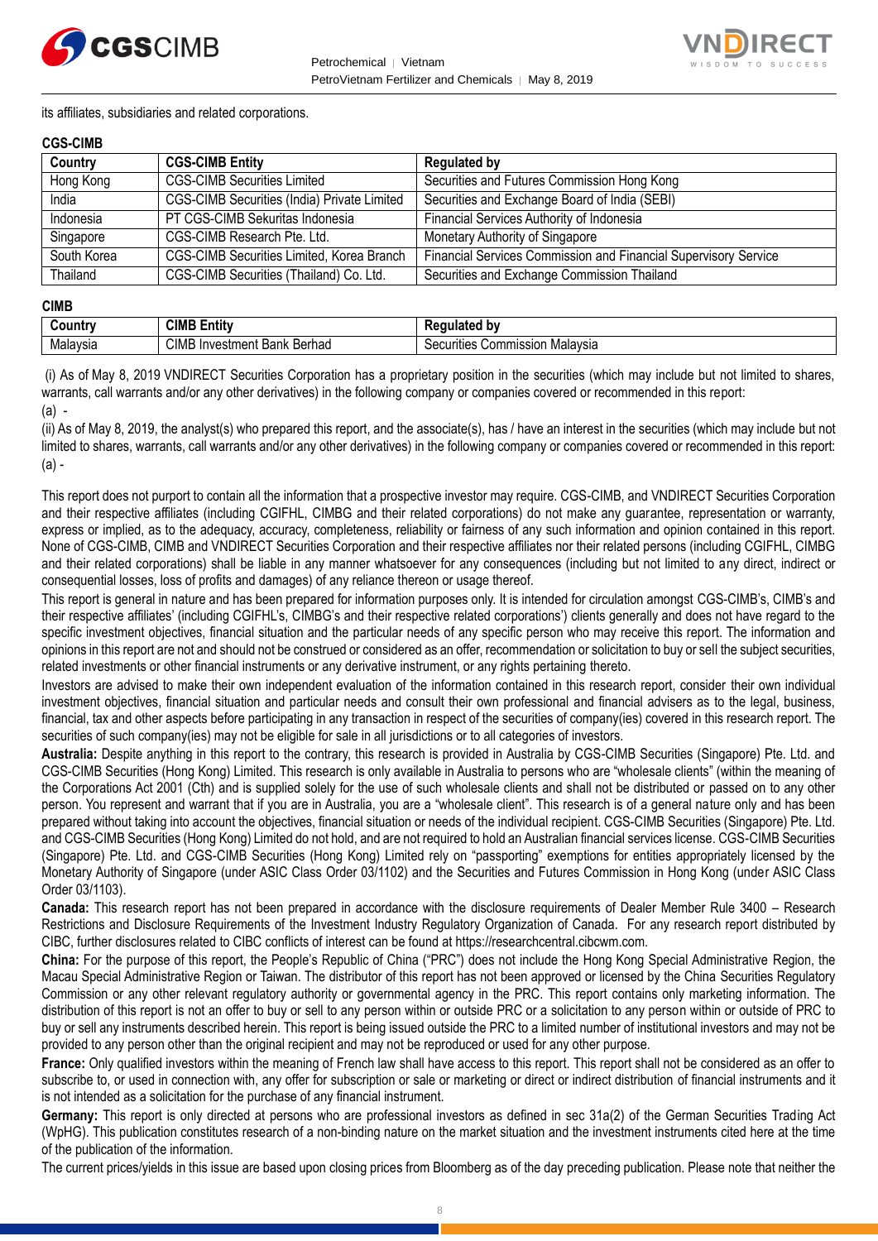



its affiliates, subsidiaries and related corporations.

#### **CGS-CIMB**

| Country     | <b>CGS-CIMB Entity</b>                             | <b>Regulated by</b>                                             |
|-------------|----------------------------------------------------|-----------------------------------------------------------------|
| Hong Kong   | <b>CGS-CIMB Securities Limited</b>                 | Securities and Futures Commission Hong Kong                     |
| India       | <b>CGS-CIMB Securities (India) Private Limited</b> | Securities and Exchange Board of India (SEBI)                   |
| Indonesia   | PT CGS-CIMB Sekuritas Indonesia                    | Financial Services Authority of Indonesia                       |
| Singapore   | CGS-CIMB Research Pte. Ltd.                        | Monetary Authority of Singapore                                 |
| South Korea | CGS-CIMB Securities Limited, Korea Branch          | Financial Services Commission and Financial Supervisory Service |
| Thailand    | CGS-CIMB Securities (Thailand) Co. Ltd.            | Securities and Exchange Commission Thailand                     |

#### **CIMB**

| .        | <b>CIMB</b><br><b>Entit</b> v              | h١<br>--- -                                                         |
|----------|--------------------------------------------|---------------------------------------------------------------------|
| Malavsia | <b>CIMB</b><br>Bank Berhad<br>. Investment | .<br>Commission<br>. Malavs <u>i</u><br>^<br>ities<br>ЭU.<br>IVƏICI |

(i) As of May 8, 2019 VNDIRECT Securities Corporation has a proprietary position in the securities (which may include but not limited to shares, warrants, call warrants and/or any other derivatives) in the following company or companies covered or recommended in this report: (a) -

(ii) As of May 8, 2019, the analyst(s) who prepared this report, and the associate(s), has / have an interest in the securities (which may include but not limited to shares, warrants, call warrants and/or any other derivatives) in the following company or companies covered or recommended in this report:  $(a)$  -

This report does not purport to contain all the information that a prospective investor may require. CGS-CIMB, and VNDIRECT Securities Corporation and their respective affiliates (including CGIFHL, CIMBG and their related corporations) do not make any guarantee, representation or warranty, express or implied, as to the adequacy, accuracy, completeness, reliability or fairness of any such information and opinion contained in this report. None of CGS-CIMB, CIMB and VNDIRECT Securities Corporation and their respective affiliates nor their related persons (including CGIFHL, CIMBG and their related corporations) shall be liable in any manner whatsoever for any consequences (including but not limited to any direct, indirect or consequential losses, loss of profits and damages) of any reliance thereon or usage thereof.

This report is general in nature and has been prepared for information purposes only. It is intended for circulation amongst CGS-CIMB's, CIMB's and their respective affiliates' (including CGIFHL's, CIMBG's and their respective related corporations') clients generally and does not have regard to the specific investment objectives, financial situation and the particular needs of any specific person who may receive this report. The information and opinions in this report are not and should not be construed or considered as an offer, recommendation or solicitation to buy or sell the subject securities, related investments or other financial instruments or any derivative instrument, or any rights pertaining thereto.

Investors are advised to make their own independent evaluation of the information contained in this research report, consider their own individual investment objectives, financial situation and particular needs and consult their own professional and financial advisers as to the legal, business, financial, tax and other aspects before participating in any transaction in respect of the securities of company(ies) covered in this research report. The securities of such company(ies) may not be eligible for sale in all jurisdictions or to all categories of investors.

**Australia:** Despite anything in this report to the contrary, this research is provided in Australia by CGS-CIMB Securities (Singapore) Pte. Ltd. and CGS-CIMB Securities (Hong Kong) Limited. This research is only available in Australia to persons who are "wholesale clients" (within the meaning of the Corporations Act 2001 (Cth) and is supplied solely for the use of such wholesale clients and shall not be distributed or passed on to any other person. You represent and warrant that if you are in Australia, you are a "wholesale client". This research is of a general nature only and has been prepared without taking into account the objectives, financial situation or needs of the individual recipient. CGS-CIMB Securities (Singapore) Pte. Ltd. and CGS-CIMB Securities (Hong Kong) Limited do not hold, and are not required to hold an Australian financial services license. CGS-CIMB Securities (Singapore) Pte. Ltd. and CGS-CIMB Securities (Hong Kong) Limited rely on "passporting" exemptions for entities appropriately licensed by the Monetary Authority of Singapore (under ASIC Class Order 03/1102) and the Securities and Futures Commission in Hong Kong (under ASIC Class Order 03/1103).

**Canada:** This research report has not been prepared in accordance with the disclosure requirements of Dealer Member Rule 3400 – Research Restrictions and Disclosure Requirements of the Investment Industry Regulatory Organization of Canada. For any research report distributed by CIBC, further disclosures related to CIBC conflicts of interest can be found at https://researchcentral.cibcwm.com.

**China:** For the purpose of this report, the People's Republic of China ("PRC") does not include the Hong Kong Special Administrative Region, the Macau Special Administrative Region or Taiwan. The distributor of this report has not been approved or licensed by the China Securities Regulatory Commission or any other relevant regulatory authority or governmental agency in the PRC. This report contains only marketing information. The distribution of this report is not an offer to buy or sell to any person within or outside PRC or a solicitation to any person within or outside of PRC to buy or sell any instruments described herein. This report is being issued outside the PRC to a limited number of institutional investors and may not be provided to any person other than the original recipient and may not be reproduced or used for any other purpose.

**France:** Only qualified investors within the meaning of French law shall have access to this report. This report shall not be considered as an offer to subscribe to, or used in connection with, any offer for subscription or sale or marketing or direct or indirect distribution of financial instruments and it is not intended as a solicitation for the purchase of any financial instrument.

**Germany:** This report is only directed at persons who are professional investors as defined in sec 31a(2) of the German Securities Trading Act (WpHG). This publication constitutes research of a non-binding nature on the market situation and the investment instruments cited here at the time of the publication of the information.

The current prices/yields in this issue are based upon closing prices from Bloomberg as of the day preceding publication. Please note that neither the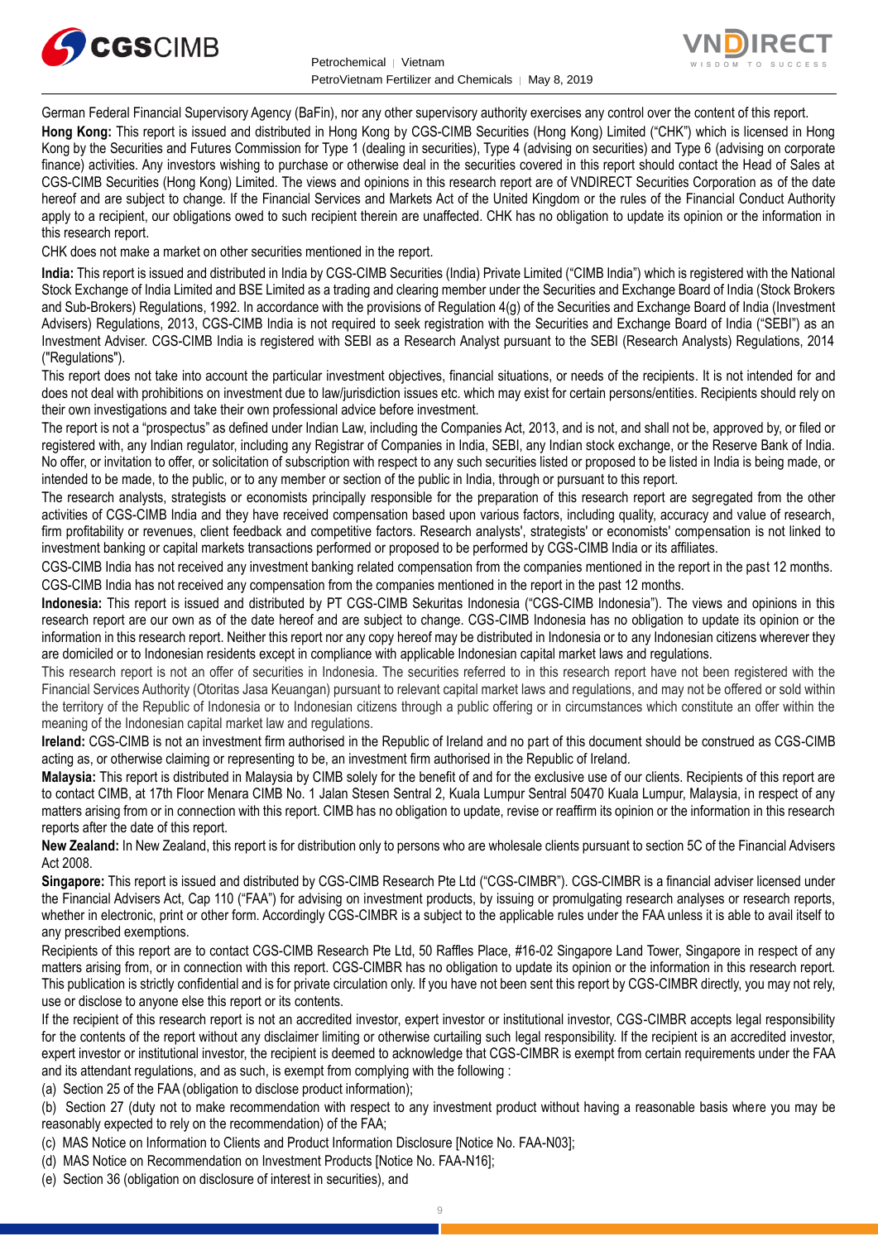



German Federal Financial Supervisory Agency (BaFin), nor any other supervisory authority exercises any control over the content of this report.

**Hong Kong:** This report is issued and distributed in Hong Kong by CGS-CIMB Securities (Hong Kong) Limited ("CHK") which is licensed in Hong Kong by the Securities and Futures Commission for Type 1 (dealing in securities), Type 4 (advising on securities) and Type 6 (advising on corporate finance) activities. Any investors wishing to purchase or otherwise deal in the securities covered in this report should contact the Head of Sales at CGS-CIMB Securities (Hong Kong) Limited. The views and opinions in this research report are of VNDIRECT Securities Corporation as of the date hereof and are subject to change. If the Financial Services and Markets Act of the United Kingdom or the rules of the Financial Conduct Authority apply to a recipient, our obligations owed to such recipient therein are unaffected. CHK has no obligation to update its opinion or the information in this research report.

CHK does not make a market on other securities mentioned in the report.

**India:** This report is issued and distributed in India by CGS-CIMB Securities (India) Private Limited ("CIMB India") which is registered with the National Stock Exchange of India Limited and BSE Limited as a trading and clearing member under the Securities and Exchange Board of India (Stock Brokers and Sub-Brokers) Regulations, 1992. In accordance with the provisions of Regulation 4(g) of the Securities and Exchange Board of India (Investment Advisers) Regulations, 2013, CGS-CIMB India is not required to seek registration with the Securities and Exchange Board of India ("SEBI") as an Investment Adviser. CGS-CIMB India is registered with SEBI as a Research Analyst pursuant to the SEBI (Research Analysts) Regulations, 2014 ("Regulations").

This report does not take into account the particular investment objectives, financial situations, or needs of the recipients. It is not intended for and does not deal with prohibitions on investment due to law/jurisdiction issues etc. which may exist for certain persons/entities. Recipients should rely on their own investigations and take their own professional advice before investment.

The report is not a "prospectus" as defined under Indian Law, including the Companies Act, 2013, and is not, and shall not be, approved by, or filed or registered with, any Indian regulator, including any Registrar of Companies in India, SEBI, any Indian stock exchange, or the Reserve Bank of India. No offer, or invitation to offer, or solicitation of subscription with respect to any such securities listed or proposed to be listed in India is being made, or intended to be made, to the public, or to any member or section of the public in India, through or pursuant to this report.

The research analysts, strategists or economists principally responsible for the preparation of this research report are segregated from the other activities of CGS-CIMB India and they have received compensation based upon various factors, including quality, accuracy and value of research, firm profitability or revenues, client feedback and competitive factors. Research analysts', strategists' or economists' compensation is not linked to investment banking or capital markets transactions performed or proposed to be performed by CGS-CIMB India or its affiliates.

CGS-CIMB India has not received any investment banking related compensation from the companies mentioned in the report in the past 12 months. CGS-CIMB India has not received any compensation from the companies mentioned in the report in the past 12 months.

**Indonesia:** This report is issued and distributed by PT CGS-CIMB Sekuritas Indonesia ("CGS-CIMB Indonesia"). The views and opinions in this research report are our own as of the date hereof and are subject to change. CGS-CIMB Indonesia has no obligation to update its opinion or the information in this research report. Neither this report nor any copy hereof may be distributed in Indonesia or to any Indonesian citizens wherever they are domiciled or to Indonesian residents except in compliance with applicable Indonesian capital market laws and regulations.

This research report is not an offer of securities in Indonesia. The securities referred to in this research report have not been registered with the Financial Services Authority (Otoritas Jasa Keuangan) pursuant to relevant capital market laws and regulations, and may not be offered or sold within the territory of the Republic of Indonesia or to Indonesian citizens through a public offering or in circumstances which constitute an offer within the meaning of the Indonesian capital market law and regulations.

**Ireland:** CGS-CIMB is not an investment firm authorised in the Republic of Ireland and no part of this document should be construed as CGS-CIMB acting as, or otherwise claiming or representing to be, an investment firm authorised in the Republic of Ireland.

**Malaysia:** This report is distributed in Malaysia by CIMB solely for the benefit of and for the exclusive use of our clients. Recipients of this report are to contact CIMB, at 17th Floor Menara CIMB No. 1 Jalan Stesen Sentral 2, Kuala Lumpur Sentral 50470 Kuala Lumpur, Malaysia, in respect of any matters arising from or in connection with this report. CIMB has no obligation to update, revise or reaffirm its opinion or the information in this research reports after the date of this report.

**New Zealand:** In New Zealand, this report is for distribution only to persons who are wholesale clients pursuant to section 5C of the Financial Advisers Act 2008.

**Singapore:** This report is issued and distributed by CGS-CIMB Research Pte Ltd ("CGS-CIMBR"). CGS-CIMBR is a financial adviser licensed under the Financial Advisers Act, Cap 110 ("FAA") for advising on investment products, by issuing or promulgating research analyses or research reports, whether in electronic, print or other form. Accordingly CGS-CIMBR is a subject to the applicable rules under the FAA unless it is able to avail itself to any prescribed exemptions.

Recipients of this report are to contact CGS-CIMB Research Pte Ltd, 50 Raffles Place, #16-02 Singapore Land Tower, Singapore in respect of any matters arising from, or in connection with this report. CGS-CIMBR has no obligation to update its opinion or the information in this research report. This publication is strictly confidential and is for private circulation only. If you have not been sent this report by CGS-CIMBR directly, you may not rely, use or disclose to anyone else this report or its contents.

If the recipient of this research report is not an accredited investor, expert investor or institutional investor, CGS-CIMBR accepts legal responsibility for the contents of the report without any disclaimer limiting or otherwise curtailing such legal responsibility. If the recipient is an accredited investor, expert investor or institutional investor, the recipient is deemed to acknowledge that CGS-CIMBR is exempt from certain requirements under the FAA and its attendant regulations, and as such, is exempt from complying with the following :

(a) Section 25 of the FAA (obligation to disclose product information);

(b) Section 27 (duty not to make recommendation with respect to any investment product without having a reasonable basis where you may be reasonably expected to rely on the recommendation) of the FAA;

(c) MAS Notice on Information to Clients and Product Information Disclosure [Notice No. FAA-N03];

(d) MAS Notice on Recommendation on Investment Products [Notice No. FAA-N16];

(e) Section 36 (obligation on disclosure of interest in securities), and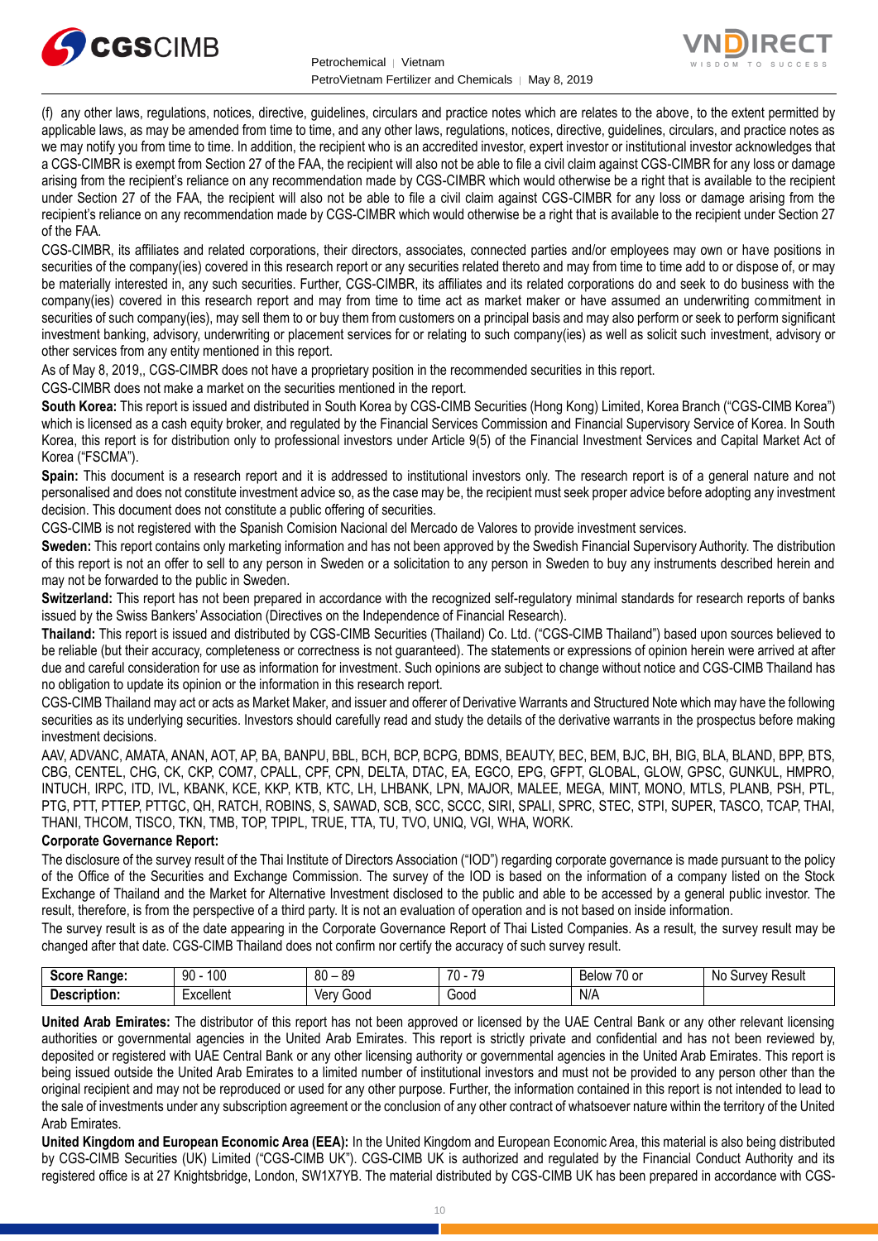



(f) any other laws, regulations, notices, directive, guidelines, circulars and practice notes which are relates to the above, to the extent permitted by applicable laws, as may be amended from time to time, and any other laws, regulations, notices, directive, guidelines, circulars, and practice notes as we may notify you from time to time. In addition, the recipient who is an accredited investor, expert investor or institutional investor acknowledges that a CGS-CIMBR is exempt from Section 27 of the FAA, the recipient will also not be able to file a civil claim against CGS-CIMBR for any loss or damage arising from the recipient's reliance on any recommendation made by CGS-CIMBR which would otherwise be a right that is available to the recipient under Section 27 of the FAA, the recipient will also not be able to file a civil claim against CGS-CIMBR for any loss or damage arising from the recipient's reliance on any recommendation made by CGS-CIMBR which would otherwise be a right that is available to the recipient under Section 27 of the FAA.

CGS-CIMBR, its affiliates and related corporations, their directors, associates, connected parties and/or employees may own or have positions in securities of the company(ies) covered in this research report or any securities related thereto and may from time to time add to or dispose of, or may be materially interested in, any such securities. Further, CGS-CIMBR, its affiliates and its related corporations do and seek to do business with the company(ies) covered in this research report and may from time to time act as market maker or have assumed an underwriting commitment in securities of such company(ies), may sell them to or buy them from customers on a principal basis and may also perform or seek to perform significant investment banking, advisory, underwriting or placement services for or relating to such company(ies) as well as solicit such investment, advisory or other services from any entity mentioned in this report.

As of May 8, 2019,, CGS-CIMBR does not have a proprietary position in the recommended securities in this report.

CGS-CIMBR does not make a market on the securities mentioned in the report.

**South Korea:** This report is issued and distributed in South Korea by CGS-CIMB Securities (Hong Kong) Limited, Korea Branch ("CGS-CIMB Korea") which is licensed as a cash equity broker, and regulated by the Financial Services Commission and Financial Supervisory Service of Korea. In South Korea, this report is for distribution only to professional investors under Article 9(5) of the Financial Investment Services and Capital Market Act of Korea ("FSCMA").

**Spain:** This document is a research report and it is addressed to institutional investors only. The research report is of a general nature and not personalised and does not constitute investment advice so, as the case may be, the recipient must seek proper advice before adopting any investment decision. This document does not constitute a public offering of securities.

CGS-CIMB is not registered with the Spanish Comision Nacional del Mercado de Valores to provide investment services.

**Sweden:** This report contains only marketing information and has not been approved by the Swedish Financial Supervisory Authority. The distribution of this report is not an offer to sell to any person in Sweden or a solicitation to any person in Sweden to buy any instruments described herein and may not be forwarded to the public in Sweden.

**Switzerland:** This report has not been prepared in accordance with the recognized self-regulatory minimal standards for research reports of banks issued by the Swiss Bankers' Association (Directives on the Independence of Financial Research).

**Thailand:** This report is issued and distributed by CGS-CIMB Securities (Thailand) Co. Ltd. ("CGS-CIMB Thailand") based upon sources believed to be reliable (but their accuracy, completeness or correctness is not guaranteed). The statements or expressions of opinion herein were arrived at after due and careful consideration for use as information for investment. Such opinions are subject to change without notice and CGS-CIMB Thailand has no obligation to update its opinion or the information in this research report.

CGS-CIMB Thailand may act or acts as Market Maker, and issuer and offerer of Derivative Warrants and Structured Note which may have the following securities as its underlying securities. Investors should carefully read and study the details of the derivative warrants in the prospectus before making investment decisions.

AAV, ADVANC, AMATA, ANAN, AOT, AP, BA, BANPU, BBL, BCH, BCP, BCPG, BDMS, BEAUTY, BEC, BEM, BJC, BH, BIG, BLA, BLAND, BPP, BTS, CBG, CENTEL, CHG, CK, CKP, COM7, CPALL, CPF, CPN, DELTA, DTAC, EA, EGCO, EPG, GFPT, GLOBAL, GLOW, GPSC, GUNKUL, HMPRO, INTUCH, IRPC, ITD, IVL, KBANK, KCE, KKP, KTB, KTC, LH, LHBANK, LPN, MAJOR, MALEE, MEGA, MINT, MONO, MTLS, PLANB, PSH, PTL, PTG, PTT, PTTEP, PTTGC, QH, RATCH, ROBINS, S, SAWAD, SCB, SCC, SCCC, SIRI, SPALI, SPRC, STEC, STPI, SUPER, TASCO, TCAP, THAI, THANI, THCOM, TISCO, TKN, TMB, TOP, TPIPL, TRUE, TTA, TU, TVO, UNIQ, VGI, WHA, WORK.

#### **Corporate Governance Report:**

The disclosure of the survey result of the Thai Institute of Directors Association ("IOD") regarding corporate governance is made pursuant to the policy of the Office of the Securities and Exchange Commission. The survey of the IOD is based on the information of a company listed on the Stock Exchange of Thailand and the Market for Alternative Investment disclosed to the public and able to be accessed by a general public investor. The result, therefore, is from the perspective of a third party. It is not an evaluation of operation and is not based on inside information.

The survey result is as of the date appearing in the Corporate Governance Report of Thai Listed Companies. As a result, the survey result may be changed after that date. CGS-CIMB Thailand does not confirm nor certify the accuracy of such survey result.

| AA<br>:Range<br>- | 1∩∩<br>90<br>1 U U | 80<br>ନ୍ଦ<br>ັບ | 70<br>$\overline{\phantom{a}}$<br>70 | $\sim$ $\sim$<br>Below<br>U or | Nc<br>Result<br><b>TIVAV</b><br>ית |
|-------------------|--------------------|-----------------|--------------------------------------|--------------------------------|------------------------------------|
| .<br>้วแon.       | xcellent           | 000د<br>ver     | Good                                 | -N/A                           |                                    |

**United Arab Emirates:** The distributor of this report has not been approved or licensed by the UAE Central Bank or any other relevant licensing authorities or governmental agencies in the United Arab Emirates. This report is strictly private and confidential and has not been reviewed by, deposited or registered with UAE Central Bank or any other licensing authority or governmental agencies in the United Arab Emirates. This report is being issued outside the United Arab Emirates to a limited number of institutional investors and must not be provided to any person other than the original recipient and may not be reproduced or used for any other purpose. Further, the information contained in this report is not intended to lead to the sale of investments under any subscription agreement or the conclusion of any other contract of whatsoever nature within the territory of the United Arab Emirates.

**United Kingdom and European Economic Area (EEA):** In the United Kingdom and European Economic Area, this material is also being distributed by CGS-CIMB Securities (UK) Limited ("CGS-CIMB UK"). CGS-CIMB UK is authorized and regulated by the Financial Conduct Authority and its registered office is at 27 Knightsbridge, London, SW1X7YB. The material distributed by CGS-CIMB UK has been prepared in accordance with CGS-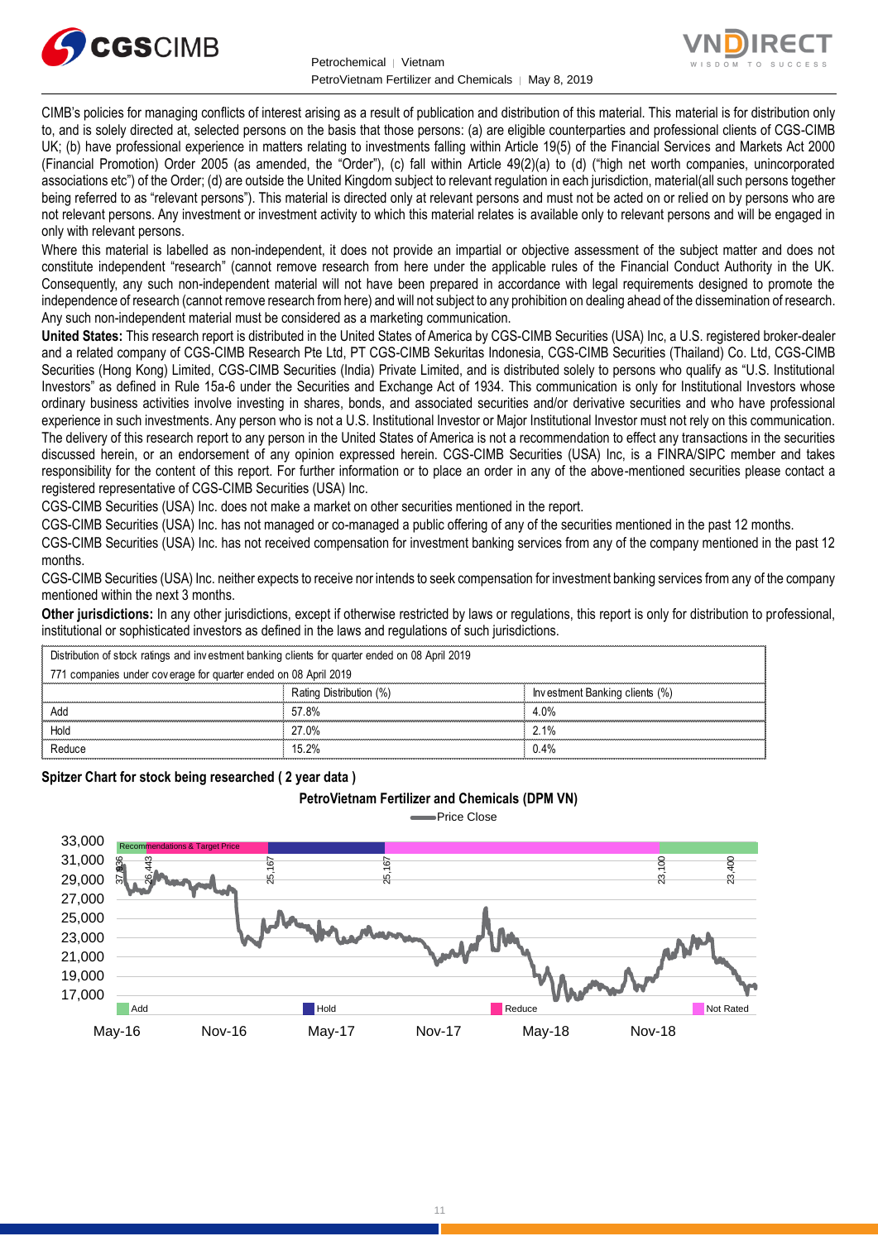



CIMB's policies for managing conflicts of interest arising as a result of publication and distribution of this material. This material is for distribution only to, and is solely directed at, selected persons on the basis that those persons: (a) are eligible counterparties and professional clients of CGS-CIMB UK; (b) have professional experience in matters relating to investments falling within Article 19(5) of the Financial Services and Markets Act 2000 (Financial Promotion) Order 2005 (as amended, the "Order"), (c) fall within Article 49(2)(a) to (d) ("high net worth companies, unincorporated associations etc") of the Order; (d) are outside the United Kingdom subject to relevant regulation in each jurisdiction, material(all such persons together being referred to as "relevant persons"). This material is directed only at relevant persons and must not be acted on or relied on by persons who are not relevant persons. Any investment or investment activity to which this material relates is available only to relevant persons and will be engaged in only with relevant persons.

Where this material is labelled as non-independent, it does not provide an impartial or objective assessment of the subject matter and does not constitute independent "research" (cannot remove research from here under the applicable rules of the Financial Conduct Authority in the UK. Consequently, any such non-independent material will not have been prepared in accordance with legal requirements designed to promote the independence of research (cannot remove research from here) and will not subject to any prohibition on dealing ahead of the dissemination of research. Any such non-independent material must be considered as a marketing communication.

**United States:** This research report is distributed in the United States of America by CGS-CIMB Securities (USA) Inc, a U.S. registered broker-dealer and a related company of CGS-CIMB Research Pte Ltd, PT CGS-CIMB Sekuritas Indonesia, CGS-CIMB Securities (Thailand) Co. Ltd, CGS-CIMB Securities (Hong Kong) Limited, CGS-CIMB Securities (India) Private Limited, and is distributed solely to persons who qualify as "U.S. Institutional Investors" as defined in Rule 15a-6 under the Securities and Exchange Act of 1934. This communication is only for Institutional Investors whose ordinary business activities involve investing in shares, bonds, and associated securities and/or derivative securities and who have professional experience in such investments. Any person who is not a U.S. Institutional Investor or Major Institutional Investor must not rely on this communication. The delivery of this research report to any person in the United States of America is not a recommendation to effect any transactions in the securities discussed herein, or an endorsement of any opinion expressed herein. CGS-CIMB Securities (USA) Inc, is a FINRA/SIPC member and takes responsibility for the content of this report. For further information or to place an order in any of the above-mentioned securities please contact a registered representative of CGS-CIMB Securities (USA) Inc.

CGS-CIMB Securities (USA) Inc. does not make a market on other securities mentioned in the report.

CGS-CIMB Securities (USA) Inc. has not managed or co-managed a public offering of any of the securities mentioned in the past 12 months.

CGS-CIMB Securities (USA) Inc. has not received compensation for investment banking services from any of the company mentioned in the past 12 months.

CGS-CIMB Securities (USA) Inc. neither expects to receive nor intends to seek compensation for investment banking services from any of the company mentioned within the next 3 months.

**Other jurisdictions:** In any other jurisdictions, except if otherwise restricted by laws or regulations, this report is only for distribution to professional, institutional or sophisticated investors as defined in the laws and regulations of such jurisdictions. entioned within the next 3 months.<br> **ther jurisdictions:** In any other jurisdictions, except if otherwise restricted by stitutional or sophisticated investors as defined in the laws and regulations of s<br>
Distribution of st

| <b>Other jurisdictions:</b> In any other jurisdictions, except if otherwise restricted by laws or regulations, this report is only for distribution to<br>institutional or sophisticated investors as defined in the laws and regulations of such jurisdictions. |                         |                                |  |  |
|------------------------------------------------------------------------------------------------------------------------------------------------------------------------------------------------------------------------------------------------------------------|-------------------------|--------------------------------|--|--|
| Distribution of stock ratings and investment banking clients for quarter ended on 08 April 2019                                                                                                                                                                  |                         |                                |  |  |
| 771 companies under coverage for quarter ended on 08 April 2019                                                                                                                                                                                                  |                         |                                |  |  |
|                                                                                                                                                                                                                                                                  | Rating Distribution (%) | Investment Banking clients (%) |  |  |
| Add                                                                                                                                                                                                                                                              | 57.8%                   | 4.0%                           |  |  |
| Hold                                                                                                                                                                                                                                                             | 27.0%                   | 2.1%                           |  |  |
| Reduce                                                                                                                                                                                                                                                           | 15 2%                   | 0.4%                           |  |  |

#### **Spitzer Chart for stock being researched ( 2 year data )**

#### **PetroVietnam Fertilizer and Chemicals (DPM VN)**

Price Close

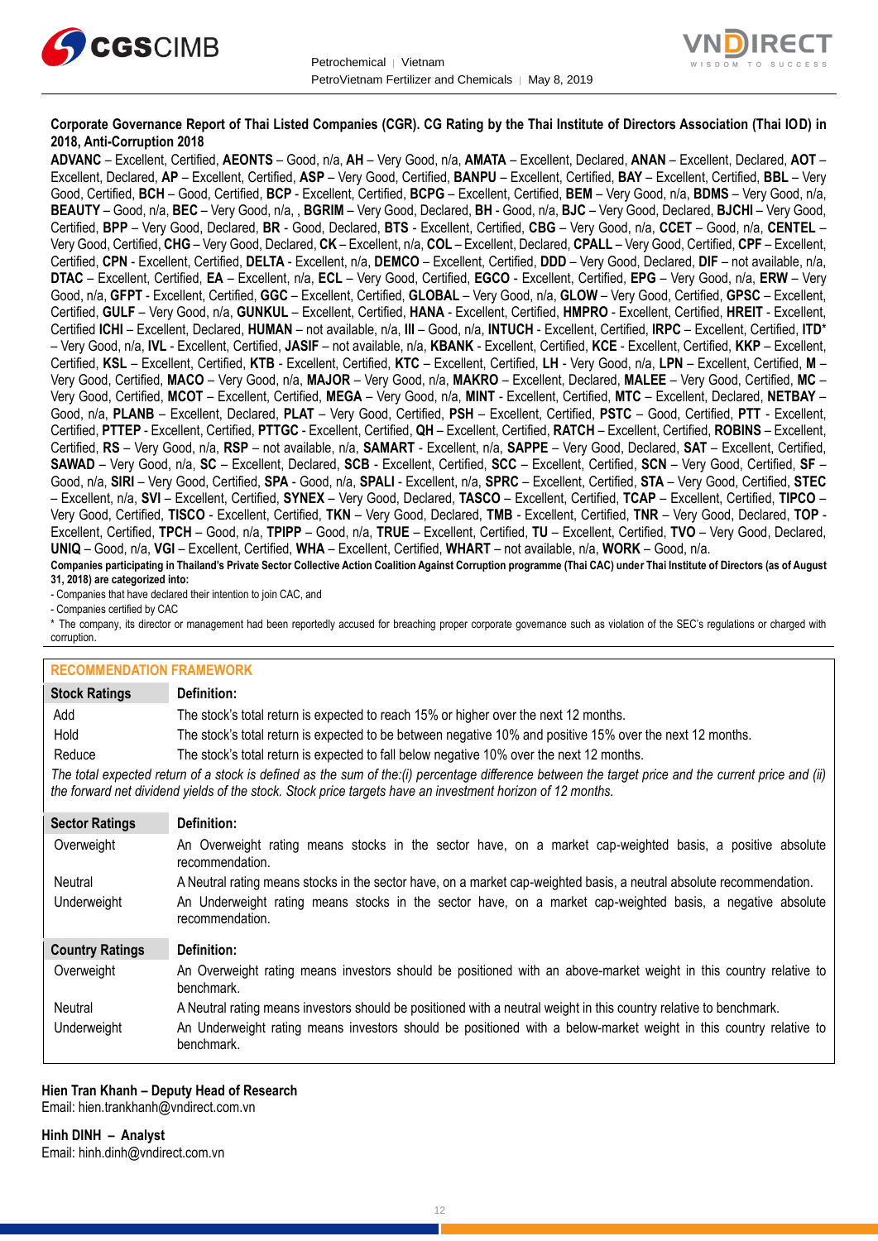



#### **Corporate Governance Report of Thai Listed Companies (CGR). CG Rating by the Thai Institute of Directors Association (Thai IOD) in 2018, Anti-Corruption 2018**

**ADVANC** – Excellent, Certified, **AEONTS** – Good, n/a, **AH** – Very Good, n/a, **AMATA** – Excellent, Declared, **ANAN** – Excellent, Declared, **AOT** – Excellent, Declared, **AP** – Excellent, Certified, **ASP** – Very Good, Certified, **BANPU** – Excellent, Certified, **BAY** – Excellent, Certified, **BBL** – Very Good, Certified, **BCH** – Good, Certified, **BCP** - Excellent, Certified, **BCPG** – Excellent, Certified, **BEM** – Very Good, n/a, **BDMS** – Very Good, n/a, **BEAUTY** – Good, n/a, **BEC** – Very Good, n/a, , **BGRIM** – Very Good, Declared, **BH** - Good, n/a, **BJC** – Very Good, Declared, **BJCHI** – Very Good, Certified, **BPP** – Very Good, Declared, **BR** - Good, Declared, **BTS** - Excellent, Certified, **CBG** – Very Good, n/a, **CCET** – Good, n/a, **CENTEL** – Very Good, Certified, **CHG** – Very Good, Declared, **CK** – Excellent, n/a, **COL** – Excellent, Declared, **CPALL** – Very Good, Certified, **CPF** – Excellent, Certified, **CPN** - Excellent, Certified, **DELTA** - Excellent, n/a, **DEMCO** – Excellent, Certified, **DDD** – Very Good, Declared, **DIF** – not available, n/a, **DTAC** – Excellent, Certified, **EA** – Excellent, n/a, **ECL** – Very Good, Certified, **EGCO** - Excellent, Certified, **EPG** – Very Good, n/a, **ERW** – Very Good, n/a, **GFPT** - Excellent, Certified, **GGC** – Excellent, Certified, **GLOBAL** – Very Good, n/a, **GLOW** – Very Good, Certified, **GPSC** – Excellent, Certified, **GULF** – Very Good, n/a, **GUNKUL** – Excellent, Certified, **HANA** - Excellent, Certified, **HMPRO** - Excellent, Certified, **HREIT** - Excellent, Certified **ICHI** – Excellent, Declared, **HUMAN** – not available, n/a, **III** – Good, n/a, **INTUCH** - Excellent, Certified, **IRPC** – Excellent, Certified, **ITD**\* – Very Good, n/a, **IVL** - Excellent, Certified, **JASIF** – not available, n/a, **KBANK** - Excellent, Certified, **KCE** - Excellent, Certified, **KKP** – Excellent, Certified, **KSL** – Excellent, Certified, **KTB** - Excellent, Certified, **KTC** – Excellent, Certified, **LH** - Very Good, n/a, **LPN** – Excellent, Certified, **M** – Very Good, Certified, **MACO** – Very Good, n/a, **MAJOR** – Very Good, n/a, **MAKRO** – Excellent, Declared, **MALEE** – Very Good, Certified, **MC** – Very Good, Certified, **MCOT** – Excellent, Certified, **MEGA** – Very Good, n/a, **MINT** - Excellent, Certified, **MTC** – Excellent, Declared, **NETBAY** – Good, n/a, **PLANB** – Excellent, Declared, **PLAT** – Very Good, Certified, **PSH** – Excellent, Certified, **PSTC** – Good, Certified, **PTT** - Excellent, Certified, **PTTEP** - Excellent, Certified, **PTTGC** - Excellent, Certified, **QH** – Excellent, Certified, **RATCH** – Excellent, Certified, **ROBINS** – Excellent, Certified, **RS** – Very Good, n/a, **RSP** – not available, n/a, **SAMART** - Excellent, n/a, **SAPPE** – Very Good, Declared, **SAT** – Excellent, Certified, **SAWAD** – Very Good, n/a, **SC** – Excellent, Declared, **SCB** - Excellent, Certified, **SCC** – Excellent, Certified, **SCN** – Very Good, Certified, **SF** – Good, n/a, **SIRI** – Very Good, Certified, **SPA** - Good, n/a, **SPALI** - Excellent, n/a, **SPRC** – Excellent, Certified, **STA** – Very Good, Certified, **STEC** – Excellent, n/a, **SVI** – Excellent, Certified, **SYNEX** – Very Good, Declared, **TASCO** – Excellent, Certified, **TCAP** – Excellent, Certified, **TIPCO** – Very Good, Certified, **TISCO** - Excellent, Certified, **TKN** – Very Good, Declared, **TMB** - Excellent, Certified, **TNR** – Very Good, Declared, **TOP** - Excellent, Certified, **TPCH** – Good, n/a, **TPIPP** – Good, n/a, **TRUE** – Excellent, Certified, **TU** – Excellent, Certified, **TVO** – Very Good, Declared, **UNIQ** – Good, n/a, **VGI** – Excellent, Certified, **WHA** – Excellent, Certified, **WHART** – not available, n/a, **WORK** – Good, n/a.

**Companies participating in Thailand's Private Sector Collective Action Coalition Against Corruption programme (Thai CAC) under Thai Institute of Directors (as of August 31, 2018) are categorized into:**

- Companies that have declared their intention to join CAC, and

- Companies certified by CAC

\* The company, its director or management had been reportedly accused for breaching proper corporate governance such as violation of the SEC's regulations or charged with corruption.

#### **RECOMMENDATION FRAMEWORK**

| <b>Stock Ratings</b>                                                                                                                                                                                                                                              | Definition:                                                                                                                     |  |
|-------------------------------------------------------------------------------------------------------------------------------------------------------------------------------------------------------------------------------------------------------------------|---------------------------------------------------------------------------------------------------------------------------------|--|
| Add                                                                                                                                                                                                                                                               | The stock's total return is expected to reach 15% or higher over the next 12 months.                                            |  |
| Hold                                                                                                                                                                                                                                                              | The stock's total return is expected to be between negative 10% and positive 15% over the next 12 months.                       |  |
| Reduce                                                                                                                                                                                                                                                            | The stock's total return is expected to fall below negative 10% over the next 12 months.                                        |  |
| The total expected return of a stock is defined as the sum of the:(i) percentage difference between the target price and the current price and (ii)<br>the forward net dividend yields of the stock. Stock price targets have an investment horizon of 12 months. |                                                                                                                                 |  |
| <b>Sector Ratings</b>                                                                                                                                                                                                                                             | Definition:                                                                                                                     |  |
| Overweight                                                                                                                                                                                                                                                        | An Overweight rating means stocks in the sector have, on a market cap-weighted basis, a positive absolute<br>recommendation.    |  |
| Neutral                                                                                                                                                                                                                                                           | A Neutral rating means stocks in the sector have, on a market cap-weighted basis, a neutral absolute recommendation.            |  |
| Underweight                                                                                                                                                                                                                                                       | An Underweight rating means stocks in the sector have, on a market cap-weighted basis, a negative absolute<br>recommendation.   |  |
| <b>Country Ratings</b>                                                                                                                                                                                                                                            | Definition:                                                                                                                     |  |
| Overweight                                                                                                                                                                                                                                                        | An Overweight rating means investors should be positioned with an above-market weight in this country relative to<br>benchmark. |  |
| Neutral                                                                                                                                                                                                                                                           | A Neutral rating means investors should be positioned with a neutral weight in this country relative to benchmark.              |  |
| Underweight                                                                                                                                                                                                                                                       | An Underweight rating means investors should be positioned with a below-market weight in this country relative to<br>benchmark. |  |

#### **Hien Tran Khanh – Deputy Head of Research** Email: [hien.trankhanh@vndirect.com.vn](mailto:hien.trankhanh@vndirect.com.vn)

**Hinh DINH – Analyst** Email: [hinh.dinh@vndirect.com.vn](mailto:hinh.dinh@vndirect.com.vn)